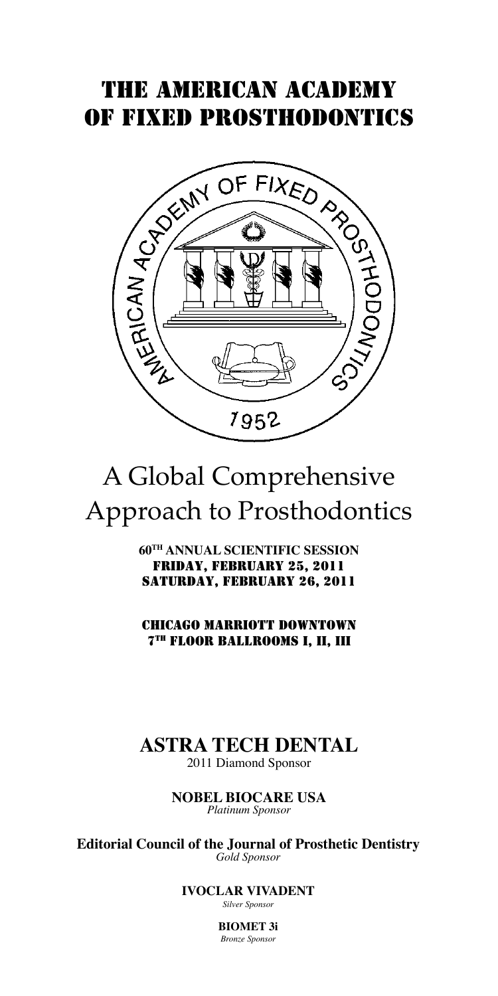# THE AMERICAN ACADEMY OF FIXED PROSTHODONTICS



# A Global Comprehensive Approach to Prosthodontics

**60TH ANNUAL SCIENTIFIC SESSION** Friday, February 25, 2011 Saturday, February 26, 2011

CHICAGO MARRIOTT DOWNTOWN 7TH FLOOR BALLROOMS I, II, III

# **ASTRA TECH DENTAL**

2011 Diamond Sponsor

**NOBEL BIOCARE USA** *Platinum Sponsor* 

**Editorial Council of the Journal of Prosthetic Dentistry** *Gold Sponsor*

> **IVOCLAR VIVADENT** *Silver Sponsor*

> > **BIOMET 3i** *Bronze Sponsor*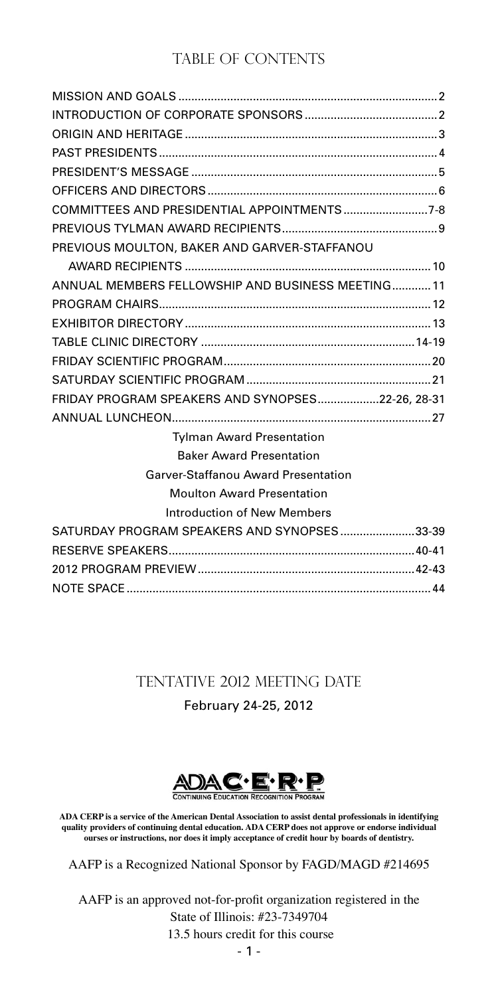### TABLE OF CONTENTS

| COMMITTEES AND PRESIDENTIAL APPOINTMENTS7-8       |  |
|---------------------------------------------------|--|
|                                                   |  |
| PREVIOUS MOULTON, BAKER AND GARVER-STAFFANOU      |  |
|                                                   |  |
| ANNUAL MEMBERS FELLOWSHIP AND BUSINESS MEETING 11 |  |
|                                                   |  |
|                                                   |  |
|                                                   |  |
|                                                   |  |
|                                                   |  |
| FRIDAY PROGRAM SPEAKERS AND SYNOPSES22-26, 28-31  |  |
|                                                   |  |
| <b>Tylman Award Presentation</b>                  |  |
| <b>Baker Award Presentation</b>                   |  |
| Garver-Staffanou Award Presentation               |  |
| <b>Moulton Award Presentation</b>                 |  |
| <b>Introduction of New Members</b>                |  |
| SATURDAY PROGRAM SPEAKERS AND SYNOPSES33-39       |  |
|                                                   |  |
|                                                   |  |
|                                                   |  |

## Tentative 2012 MeeTing DatE February 24-25, 2012

ADAC<sup>'</sup> E<sup>'</sup> R<sup>.</sup> R.

**ADA CERP is a service of the American Dental Association to assist dental professionals in identifying quality providers of continuing dental education. ADA CERP does not approve or endorse individual ourses or instructions, nor does it imply acceptance of credit hour by boards of dentistry.**

AAFP is a Recognized National Sponsor by FAGD/MAGD #214695

- 1 - AAFP is an approved not-for-profit organization registered in the State of Illinois: #23-7349704 13.5 hours credit for this course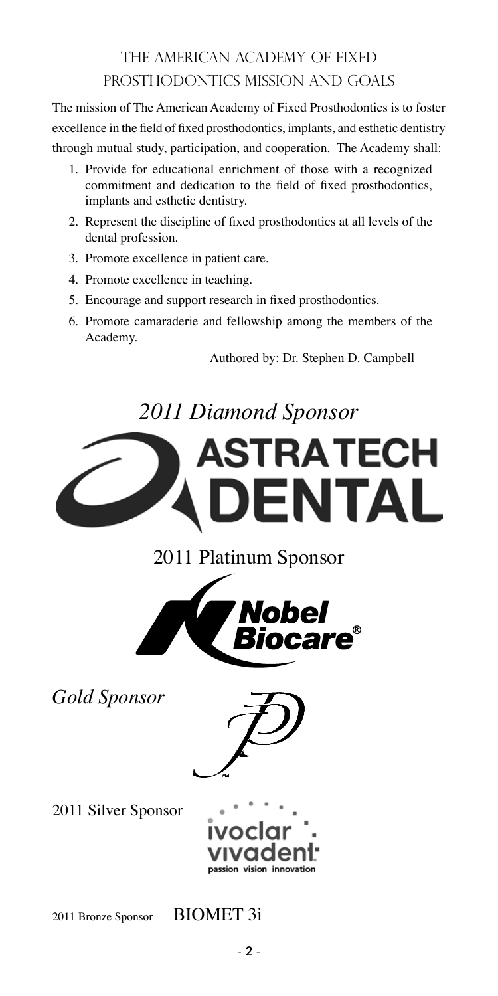# THE AMERICAN ACADEMY OF FIXED PROSTHODONTICS MISSION AND GOALS

The mission of The American Academy of Fixed Prosthodontics is to foster excellence in the field of fixed prosthodontics, implants, and esthetic dentistry through mutual study, participation, and cooperation. The Academy shall:

- 1. Provide for educational enrichment of those with a recognized commitment and dedication to the field of fixed prosthodontics, implants and esthetic dentistry.
- 2. Represent the discipline of fixed prosthodontics at all levels of the dental profession.
- 3. Promote excellence in patient care.
- 4. Promote excellence in teaching.
- 5. Encourage and support research in fixed prosthodontics.
- 6. Promote camaraderie and fellowship among the members of the Academy.

Authored by: Dr. Stephen D. Campbell

# *2011 Diamond Sponsor*





*Gold Sponsor*



2011 Silver Sponsor



2011 Bronze Sponsor BIOMET 3i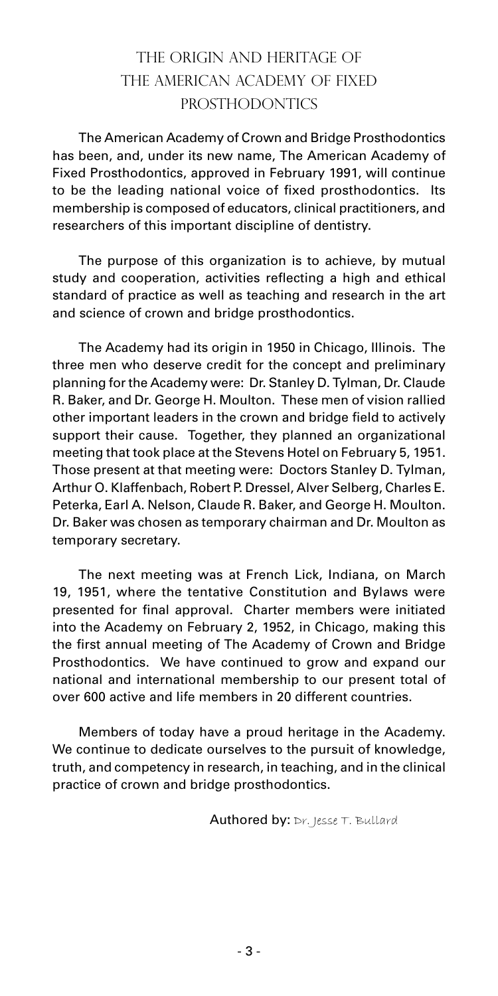# THE ORIGIN AND HERITAGE OF THE AMERICAN ACADEMY OF FIXED PROSTHODONTICS

The American Academy of Crown and Bridge Prosthodontics has been, and, under its new name, The American Academy of Fixed Prosthodontics, approved in February 1991, will continue to be the leading national voice of fixed prosthodontics. Its membership is composed of educators, clinical practitioners, and researchers of this important discipline of dentistry.

The purpose of this organization is to achieve, by mutual study and cooperation, activities reflecting a high and ethical standard of practice as well as teaching and research in the art and science of crown and bridge prosthodontics.

The Academy had its origin in 1950 in Chicago, Illinois. The three men who deserve credit for the concept and preliminary planning for the Academy were: Dr. Stanley D. Tylman, Dr. Claude R. Baker, and Dr. George H. Moulton. These men of vision rallied other important leaders in the crown and bridge field to actively support their cause. Together, they planned an organizational meeting that took place at the Stevens Hotel on February 5, 1951. Those present at that meeting were: Doctors Stanley D. Tylman, Arthur O. Klaffenbach, Robert P. Dressel, Alver Selberg, Charles E. Peterka, Earl A. Nelson, Claude R. Baker, and George H. Moulton. Dr. Baker was chosen as temporary chairman and Dr. Moulton as temporary secretary.

The next meeting was at French Lick, Indiana, on March 19, 1951, where the tentative Constitution and Bylaws were presented for final approval. Charter members were initiated into the Academy on February 2, 1952, in Chicago, making this the first annual meeting of The Academy of Crown and Bridge Prosthodontics. We have continued to grow and expand our national and international membership to our present total of over 600 active and life members in 20 different countries.

Members of today have a proud heritage in the Academy. We continue to dedicate ourselves to the pursuit of knowledge, truth, and competency in research, in teaching, and in the clinical practice of crown and bridge prosthodontics.

**Authored by:**  $Dr.$  Jesse  $T.$  Bullard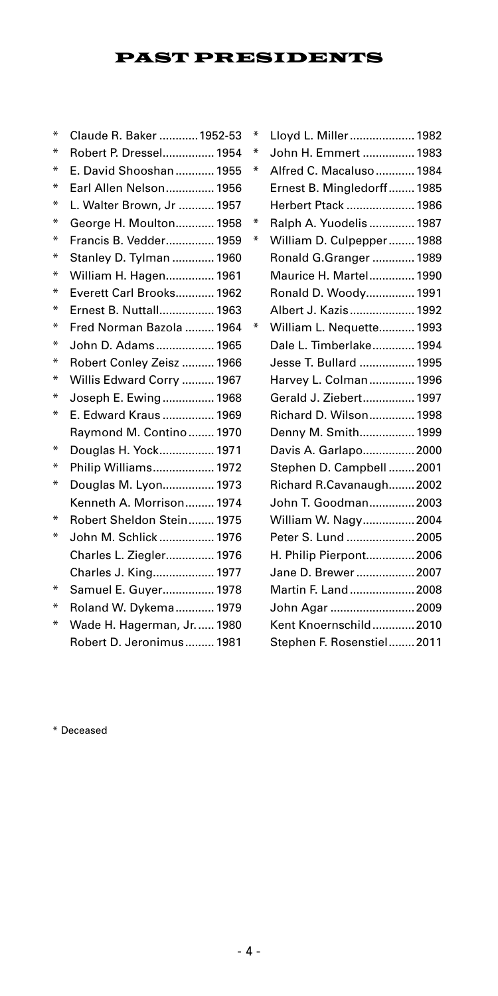### PAST PRESIDENTS

| ∗ | Claude R. Baker  1952-53  |
|---|---------------------------|
| ∗ | Robert P. Dressel 1954    |
| ∗ | E. David Shooshan 1955    |
| ∗ | Earl Allen Nelson 1956    |
| ⋇ | L. Walter Brown, Jr  1957 |
| ⋇ | George H. Moulton 1958    |
| ∗ | Francis B. Vedder 1959    |
| ⋇ | Stanley D. Tylman  1960   |
| ∗ | William H. Hagen 1961     |
| ⋇ | Everett Carl Brooks 1962  |
| ⋇ | Ernest B. Nuttall 1963    |
| ⋇ | Fred Norman Bazola  1964  |
| ⋇ | John D. Adams 1965        |
| ⋇ | Robert Conley Zeisz  1966 |
| ∗ | Willis Edward Corry  1967 |
| ⋇ | Joseph E. Ewing 1968      |
| ⋇ | E. Edward Kraus  1969     |
|   | Raymond M. Contino 1970   |
| ⋇ | Douglas H. Yock 1971      |
| ∗ | Philip Williams 1972      |
| ∗ | Douglas M. Lyon 1973      |
|   | Kenneth A. Morrison 1974  |
| ∗ | Robert Sheldon Stein 1975 |
| ∗ | John M. Schlick  1976     |
|   | Charles L. Ziegler 1976   |
|   | Charles J. King 1977      |
| ⋇ | Samuel E. Guyer 1978      |
| ∗ | Roland W. Dykema 1979     |
| ⋇ | Wade H. Hagerman, Jr 1980 |
|   | Robert D. Jeronimus 1981  |

| $\ast$ | Lloyd L. Miller 1982       |
|--------|----------------------------|
| ∗      | John H. Emmert  1983       |
| ⋇      | Alfred C. Macaluso  1984   |
|        | Ernest B. Mingledorff 1985 |
|        | Herbert Ptack  1986        |
| ⋇      | Ralph A. Yuodelis  1987    |
| ⋇      | William D. Culpepper 1988  |
|        | Ronald G.Granger  1989     |
|        | Maurice H. Martel 1990     |
|        | Ronald D. Woody 1991       |
|        | Albert J. Kazis 1992       |
| ∗      | William L. Nequette 1993   |
|        | Dale L. Timberlake 1994    |
|        | Jesse T. Bullard  1995     |
|        | Harvey L. Colman 1996      |
|        | Gerald J. Ziebert 1997     |
|        | Richard D. Wilson 1998     |
|        | Denny M. Smith 1999        |
|        | Davis A. Garlapo 2000      |
|        | Stephen D. Campbell  2001  |
|        | Richard R.Cavanaugh 2002   |
|        | John T. Goodman 2003       |
|        | William W. Nagy 2004       |
|        | Peter S. Lund  2005        |
|        | H. Philip Pierpont 2006    |
|        | Jane D. Brewer  2007       |
|        | Martin F. Land  2008       |
|        | John Agar  2009            |
|        | Kent Knoernschild 2010     |
|        | Stephen F. Rosenstiel 2011 |

\* Deceased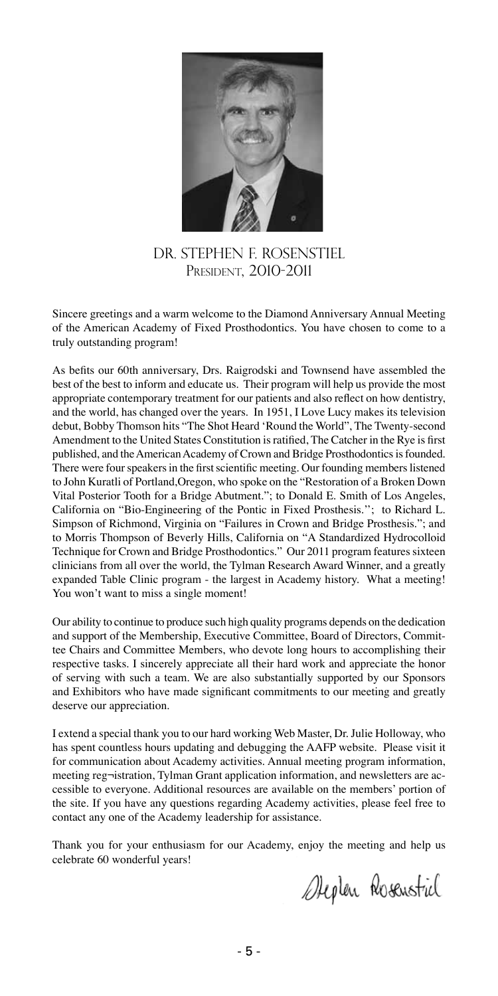

DR. StePhen F. Rosenstiel President, 2010-2011

Sincere greetings and a warm welcome to the Diamond Anniversary Annual Meeting of the American Academy of Fixed Prosthodontics. You have chosen to come to a truly outstanding program!

As befits our 60th anniversary, Drs. Raigrodski and Townsend have assembled the best of the best to inform and educate us. Their program will help us provide the most appropriate contemporary treatment for our patients and also reflect on how dentistry, and the world, has changed over the years. In 1951, I Love Lucy makes its television debut, Bobby Thomson hits "The Shot Heard 'Round the World", The Twenty-second Amendment to the United States Constitution is ratified, The Catcher in the Rye is first published, and the American Academy of Crown and Bridge Prosthodontics is founded. There were four speakers in the first scientific meeting. Our founding members listened to John Kuratli of Portland,Oregon, who spoke on the "Restoration of a Broken Down Vital Posterior Tooth for a Bridge Abutment."; to Donald E. Smith of Los Angeles, California on "Bio-Engineering of the Pontic in Fixed Prosthesis.''; to Richard L. Simpson of Richmond, Virginia on "Failures in Crown and Bridge Prosthesis."; and to Morris Thompson of Beverly Hills, California on "A Standardized Hydrocolloid Technique for Crown and Bridge Prosthodontics." Our 2011 program features sixteen clinicians from all over the world, the Tylman Research Award Winner, and a greatly expanded Table Clinic program - the largest in Academy history. What a meeting! You won't want to miss a single moment!

Our ability to continue to produce such high quality programs depends on the dedication and support of the Membership, Executive Committee, Board of Directors, Committee Chairs and Committee Members, who devote long hours to accomplishing their respective tasks. I sincerely appreciate all their hard work and appreciate the honor of serving with such a team. We are also substantially supported by our Sponsors and Exhibitors who have made significant commitments to our meeting and greatly deserve our appreciation.

I extend a special thank you to our hard working Web Master, Dr. Julie Holloway, who has spent countless hours updating and debugging the AAFP website. Please visit it for communication about Academy activities. Annual meeting program information, meeting reg¬istration, Tylman Grant application information, and newsletters are accessible to everyone. Additional resources are available on the members' portion of the site. If you have any questions regarding Academy activities, please feel free to contact any one of the Academy leadership for assistance.

Thank you for your enthusiasm for our Academy, enjoy the meeting and help us celebrate 60 wonderful years!

*Dieplen* Rosenstril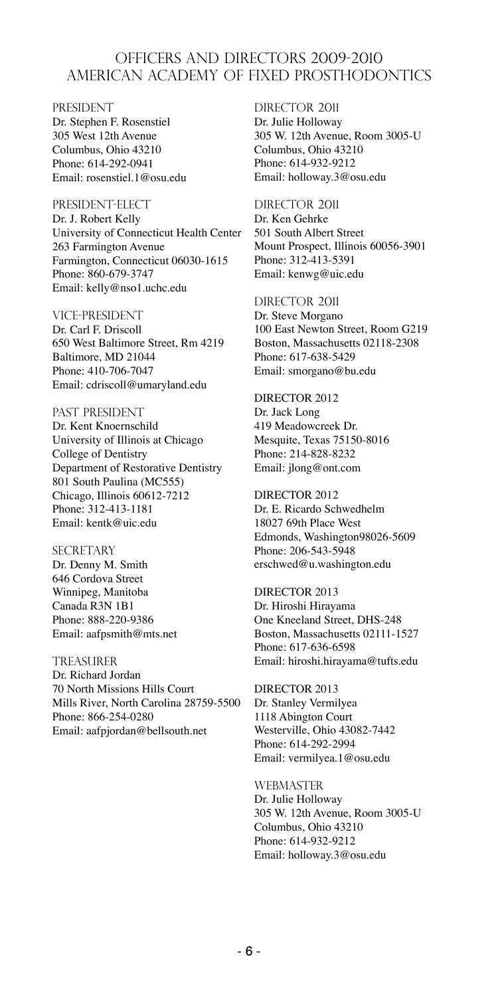### OFFICERS AND DIRECTORS 2009-2010 AMERICAN ACADEMY OF FIXED PROSTHODONTICS

**PRESIDENT** Dr. Stephen F. Rosenstiel 305 West 12th Avenue Columbus, Ohio 43210 Phone: 614-292-0941 Email: rosenstiel.1@osu.edu

President-Elect Dr. J. Robert Kelly University of Connecticut Health Center 263 Farmington Avenue Farmington, Connecticut 06030-1615 Phone: 860-679-3747 Email: kelly@nso1.uchc.edu

Vice-President Dr. Carl F. Driscoll 650 West Baltimore Street, Rm 4219 Baltimore, MD 21044 Phone: 410-706-7047 Email: cdriscoll@umaryland.edu

PAST PRESIDENT Dr. Kent Knoernschild University of Illinois at Chicago College of Dentistry Department of Restorative Dentistry 801 South Paulina (MC555) Chicago, Illinois 60612-7212 Phone: 312-413-1181 Email: kentk@uic.edu

**SECRETARY** Dr. Denny M. Smith 646 Cordova Street Winnipeg, Manitoba Canada R3N 1B1 Phone: 888-220-9386 Email: aafpsmith@mts.net

**TREASURER** Dr. Richard Jordan 70 North Missions Hills Court Mills River, North Carolina 28759-5500 Phone: 866-254-0280 Email: aafpjordan@bellsouth.net

DIRECTOR 2011 Dr. Julie Holloway 305 W. 12th Avenue, Room 3005-U Columbus, Ohio 43210 Phone: 614-932-9212 Email: holloway.3@osu.edu

DIRECTOR 2011 Dr. Ken Gehrke 501 South Albert Street Mount Prospect, Illinois 60056-3901 Phone: 312-413-5391 Email: kenwg@uic.edu

DIRECTOR 2011 Dr. Steve Morgano 100 East Newton Street, Room G219 Boston, Massachusetts 02118-2308 Phone: 617-638-5429 Email: smorgano@bu.edu

DIRECTOR 2012 Dr. Jack Long 419 Meadowcreek Dr. Mesquite, Texas 75150-8016 Phone: 214-828-8232 Email: jlong@ont.com

DIRECTOR 2012 Dr. E. Ricardo Schwedhelm 18027 69th Place West Edmonds, Washington98026-5609 Phone: 206-543-5948 erschwed@u.washington.edu

DIRECTOR 2013 Dr. Hiroshi Hirayama One Kneeland Street, DHS-248 Boston, Massachusetts 02111-1527 Phone: 617-636-6598 Email: hiroshi.hirayama@tufts.edu

DIRECTOR 2013 Dr. Stanley Vermilyea 1118 Abington Court Westerville, Ohio 43082-7442 Phone: 614-292-2994 Email: vermilyea.1@osu.edu

**WEBMASTER** Dr. Julie Holloway 305 W. 12th Avenue, Room 3005-U Columbus, Ohio 43210 Phone: 614-932-9212 Email: holloway.3@osu.edu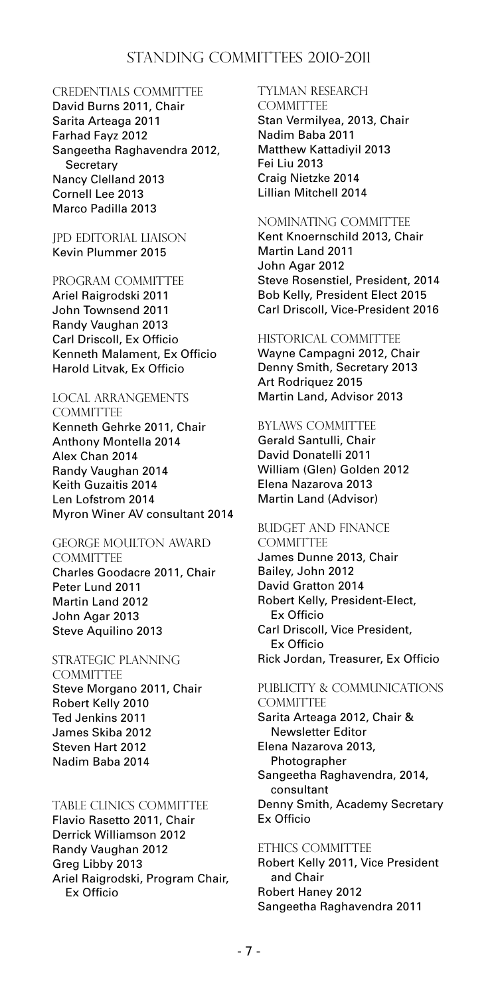### STANDING COMMITTEES 2010-2011

#### CREDENTIALS COMMITTEE

David Burns 2011, Chair Sarita Arteaga 2011 Farhad Fayz 2012 Sangeetha Raghavendra 2012, **Secretary** Nancy Clelland 2013 Cornell Lee 2013 Marco Padilla 2013

#### JPD EDITORIAL LIAISON Kevin Plummer 2015

#### PROGRAM COMMITTEE

Ariel Raigrodski 2011 John Townsend 2011 Randy Vaughan 2013 Carl Driscoll, Ex Officio Kenneth Malament, Ex Officio Harold Litvak, Ex Officio

# LOCAL ARRANGEMENTS

**COMMITTEE** Kenneth Gehrke 2011, Chair Anthony Montella 2014 Alex Chan 2014 Randy Vaughan 2014 Keith Guzaitis 2014 Len Lofstrom 2014 Myron Winer AV consultant 2014

#### GEORGE MOULTON AWARD

**COMMITTEE** Charles Goodacre 2011, Chair Peter Lund 2011 Martin Land 2012 John Agar 2013 Steve Aquilino 2013

### STRATEGIC PLANNING

**COMMITTEE** Steve Morgano 2011, Chair Robert Kelly 2010 Ted Jenkins 2011 James Skiba 2012 Steven Hart 2012 Nadim Baba 2014

#### TABLE CLINICS COMMITTEE

Flavio Rasetto 2011, Chair Derrick Williamson 2012 Randy Vaughan 2012 Greg Libby 2013 Ariel Raigrodski, Program Chair, Ex Officio

### TYLMAN RESEARCH

**COMMITTEE** Stan Vermilyea, 2013, Chair Nadim Baba 2011 Matthew Kattadiyil 2013 Fei Liu 2013 Craig Nietzke 2014 Lillian Mitchell 2014

#### NOMINATING COMMITTEE

Kent Knoernschild 2013, Chair Martin Land 2011 John Agar 2012 Steve Rosenstiel, President, 2014 Bob Kelly, President Elect 2015 Carl Driscoll, Vice-President 2016

#### HISTORICAL COMMITTEE

Wayne Campagni 2012, Chair Denny Smith, Secretary 2013 Art Rodriquez 2015 Martin Land, Advisor 2013

#### BYLAWS COMMITTEE

Gerald Santulli, Chair David Donatelli 2011 William (Glen) Golden 2012 Elena Nazarova 2013 Martin Land (Advisor)

### BUDGET AND FINANCE

**COMMITTEE** James Dunne 2013, Chair Bailey, John 2012 David Gratton 2014 Robert Kelly, President-Elect, Ex Officio Carl Driscoll, Vice President, Ex Officio Rick Jordan, Treasurer, Ex Officio

### PUBLICITY & COMMUNICATIONS **COMMITTEE**

Sarita Arteaga 2012, Chair & Newsletter Editor Elena Nazarova 2013, Photographer Sangeetha Raghavendra, 2014, consultant Denny Smith, Academy Secretary Ex Officio

#### ETHICS COMMITTEE

Robert Kelly 2011, Vice President and Chair Robert Haney 2012 Sangeetha Raghavendra 2011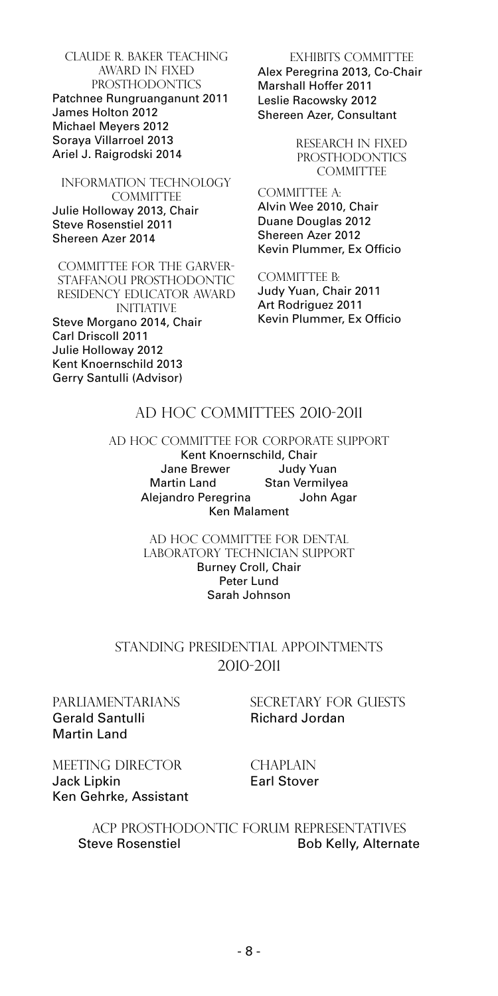Claude r. Baker TEACHING AWARD IN FIXED PROSTHODONTICS Patchnee Rungruanganunt 2011 James Holton 2012 Michael Meyers 2012 Soraya Villarroel 2013 Ariel J. Raigrodski 2014

#### INFORMATION TECHNOL0GY COMMITTEE Julie Holloway 2013, Chair Steve Rosenstiel 2011 Shereen Azer 2014

COMMITTEE FOR THE GARVER-<br>STAFFANOU PROSTHODONTIC STAFFANOU PROSTHODONTIC RESIDENCY EDUCATOR AWARD INITIATIVE Steve Morgano 2014, Chair Carl Driscoll 2011 Julie Holloway 2012 Kent Knoernschild 2013 Gerry Santulli (Advisor)

EXHIBITS COMMITTEE Alex Peregrina 2013, Co-Chair Marshall Hoffer 2011 Leslie Racowsky 2012 Shereen Azer, Consultant

> RESEARCH IN FIXED PROSTHODONTICS **COMMITTEE**

COMMITTEE A: Alvin Wee 2010, Chair Duane Douglas 2012 Shereen Azer 2012 Kevin Plummer, Ex Officio

COMMITTEE B: Judy Yuan, Chair 2011 Art Rodriguez 2011 Kevin Plummer, Ex Officio

### AD HOC COMMITTEES 2010-2011

AD HOC COMMITTEE FOR CORPORATE SUPPORT Kent Knoernschild, Chair Jane Brewer Judy Yuan Martin Land Stan Vermilyea Alejandro Peregrina John Agar Ken Malament

> AD HOC COMMITTEE FOR DENTAL LABORATORY TECHNICIAN SUPPORT Burney Croll, Chair Peter Lund Sarah Johnson

### STANDING PRESIDENTIAL APPOINTMENTS 2010-2011

# Gerald Santulli Richard Jordan Martin Land

PARLIAMENTARIANS SECRETARY FOR GUESTS

MEETING DIRECTOR CHAPLAIN Jack Lipkin **Earl Stover** Ken Gehrke, Assistant

#### ACP PROSTHODONTIC FORUM REPRESENTATIVES Steve Rosenstiel **Bob Kelly, Alternate**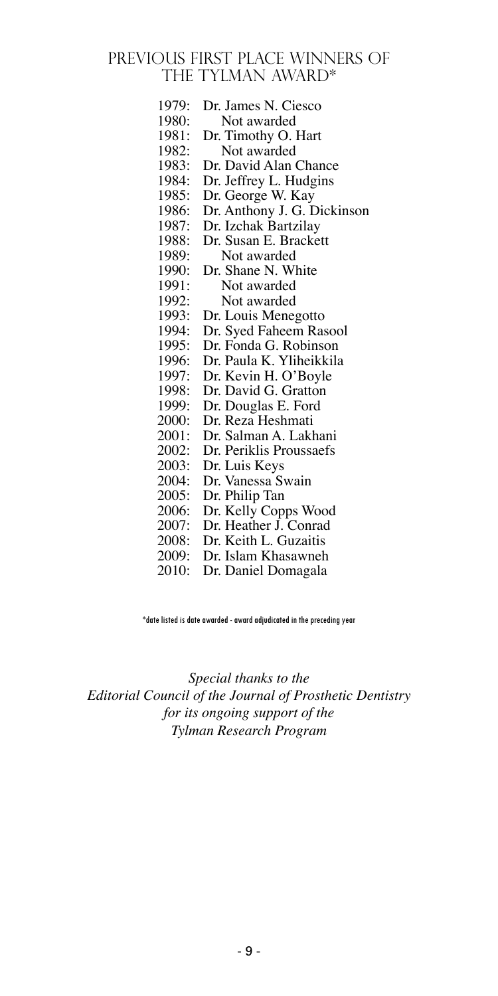### PREVIOUS FIRST PLACE WINNERS OF THE TYLMAN AWARD\*

| 1979: | Dr. James N. Ciesco         |
|-------|-----------------------------|
| 1980: | Not awarded                 |
| 1981: | Dr. Timothy O. Hart         |
| 1982: | Not awarded                 |
| 1983: | Dr. David Alan Chance       |
| 1984: | Dr. Jeffrey L. Hudgins      |
| 1985: | Dr. George W. Kay           |
| 1986: | Dr. Anthony J. G. Dickinson |
| 1987: | Dr. Izchak Bartzilay        |
| 1988: | Dr. Susan E. Brackett       |
| 1989: | Not awarded                 |
| 1990: | Dr. Shane N. White          |
| 1991: | Not awarded                 |
| 1992: | Not awarded                 |
| 1993: | Dr. Louis Menegotto         |
| 1994: | Dr. Syed Faheem Rasool      |
| 1995: | Dr. Fonda G. Robinson       |
| 1996: | Dr. Paula K. Yliheikkila    |
| 1997: | Dr. Kevin H. O'Boyle        |
| 1998: | Dr. David G. Gratton        |
| 1999: | Dr. Douglas E. Ford         |
| 2000: | Dr. Reza Heshmati           |
| 2001: | Dr. Salman A. Lakhani       |
| 2002: | Dr. Periklis Proussaefs     |
| 2003: | Dr. Luis Keys               |
| 2004: | Dr. Vanessa Swain           |
| 2005: | Dr. Philip Tan              |
| 2006: | Dr. Kelly Copps Wood        |
| 2007: | Dr. Heather J. Conrad       |
| 2008: | Dr. Keith L. Guzaitis       |
| 2009: | Dr. Islam Khasawneh         |
| 2010: | Dr. Daniel Domagala         |

\*date listed is date awarded - award adjudicated in the preceding year

*Special thanks to the Editorial Council of the Journal of Prosthetic Dentistry for its ongoing support of the Tylman Research Program*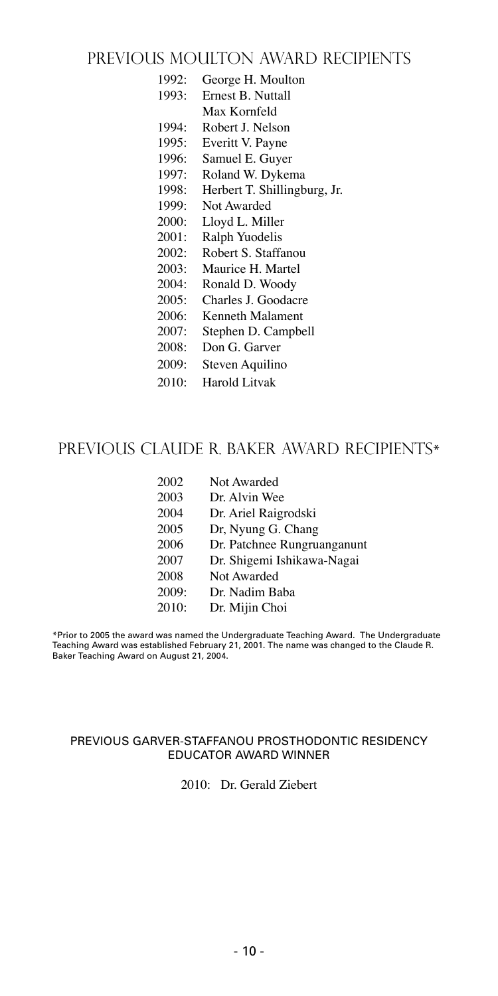### PREVIOUS MOULTON AWARD RECIPIENTS

- 1992: George H. Moulton
- 1993: Ernest B. Nuttall
- Max Kornfeld 1994: Robert J. Nelson
- 
- 1995: Everitt V. Payne
- 1996: Samuel E. Guyer
- 1997: Roland W. Dykema
- 1998: Herbert T. Shillingburg, Jr.
- 1999: Not Awarded
- 2000: Lloyd L. Miller
- 2001: Ralph Yuodelis
- 2002: Robert S. Staffanou
- 2003: Maurice H. Martel
- 2004: Ronald D. Woody
- 2005: Charles J. Goodacre
- 2006: Kenneth Malament
- 2007: Stephen D. Campbell
- 2008: Don G. Garver
- 2009: Steven Aquilino
- 2010: Harold Litvak

### PREVIOUS CLAUDE R. BAKER AWARD RECIPIENTS\*

| 2002  | Not Awarded                 |
|-------|-----------------------------|
| 2003  | Dr. Alvin Wee               |
| 2004  | Dr. Ariel Raigrodski        |
| 2005  | Dr, Nyung G. Chang          |
| 2006  | Dr. Patchnee Rungruanganunt |
| 2007  | Dr. Shigemi Ishikawa-Nagai  |
| 2008  | Not Awarded                 |
| 2009: | Dr. Nadim Baba              |
| 2010: | Dr. Mijin Choi              |
|       |                             |

\*Prior to 2005 the award was named the Undergraduate Teaching Award. The Undergraduate Teaching Award was established February 21, 2001. The name was changed to the Claude R. Baker Teaching Award on August 21, 2004.

#### PREVIOUS GARVER-STAFFANOU PROSTHODONTIC RESIDENCY EDUCATOR AWARD WINNER

2010: Dr. Gerald Ziebert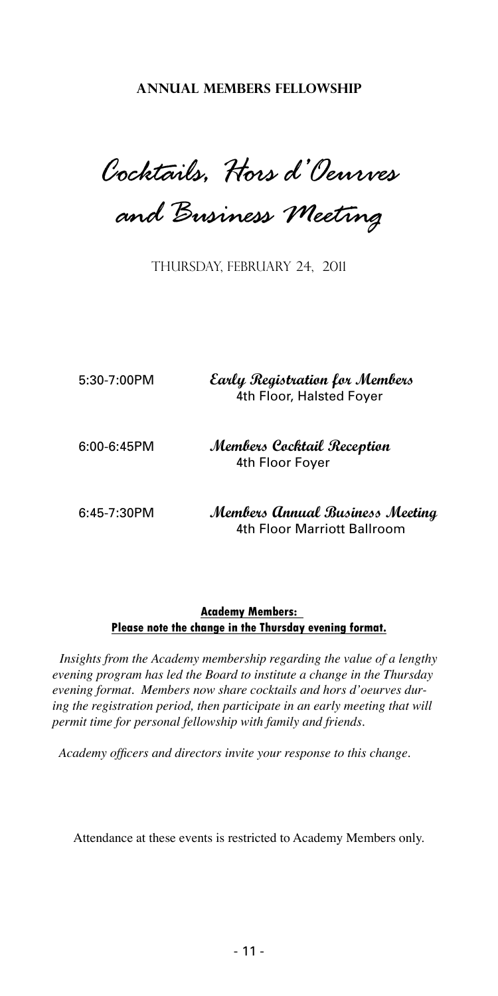**ANNUAL MEMBERS FELLOWSHIP**

*Cocktails, Hors d'Oeurves* 

*and Business Meeting*

THURSDAY, FEBRUARY 24, 2011

| $5:30-7:00$ PM | Early Registration for Members<br>4th Floor, Halsted Foyer     |  |
|----------------|----------------------------------------------------------------|--|
| $6:00-6:45PM$  | Members Cocktail Reception<br>4th Floor Fover                  |  |
| $6:45-7:30PM$  | Members Annual Business Meeting<br>4th Floor Marriott Ballroom |  |

#### **Academy Members: Please note the change in the Thursday evening format.**

 *Insights from the Academy membership regarding the value of a lengthy evening program has led the Board to institute a change in the Thursday evening format. Members now share cocktails and hors d'oeurves dur*ing the registration period, then participate in an early meeting that will *permit time for personal fellowship with family and friends.*

 *Academy officers and directors invite your response to this change.*

Attendance at these events is restricted to Academy Members only.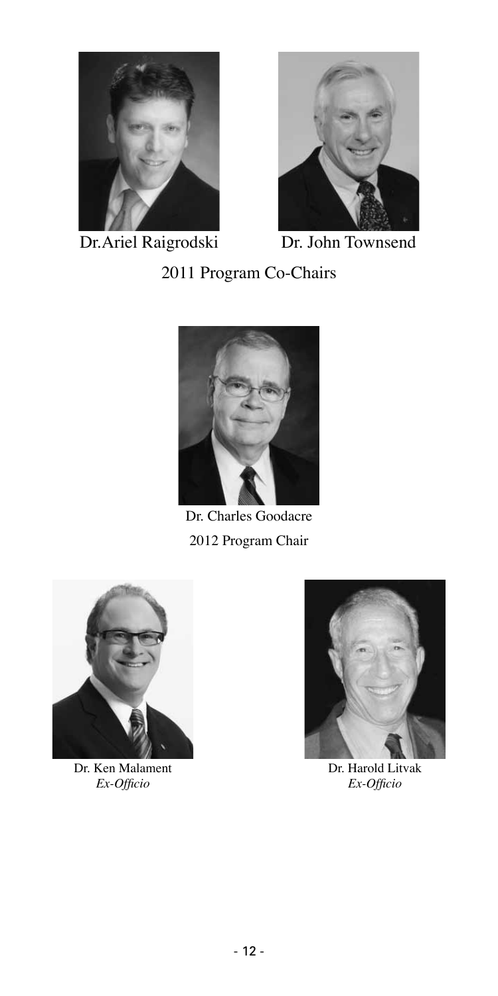

Dr. Ariel Raigrodski Dr. John Townsend



2011 Program Co-Chairs



Dr. Charles Goodacre 2012 Program Chair



Dr. Ken Malament *Ex-Officio*



Dr. Harold Litvak *Ex-Officio*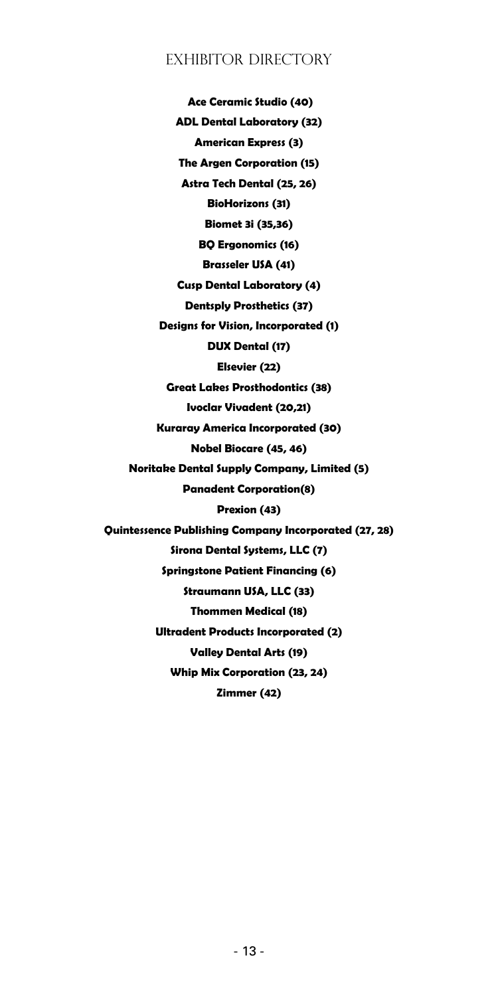### EXHIBITOR DIRECTORY

 **Ace Ceramic Studio (40) ADL Dental Laboratory (32) American Express (3) The Argen Corporation (15) Astra Tech Dental (25, 26) BioHorizons (31) Biomet 3i (35,36) BQ Ergonomics (16) Brasseler USA (41) Cusp Dental Laboratory (4) Dentsply Prosthetics (37) Designs for Vision, Incorporated (1) DUX Dental (17) Elsevier (22) Great Lakes Prosthodontics (38) Ivoclar Vivadent (20,21) Kuraray America Incorporated (30) Nobel Biocare (45, 46) Noritake Dental Supply Company, Limited (5) Panadent Corporation(8) Prexion (43) Quintessence Publishing Company Incorporated (27, 28) Sirona Dental Systems, LLC (7) Springstone Patient Financing (6) Straumann USA, LLC (33) Thommen Medical (18) Ultradent Products Incorporated (2) Valley Dental Arts (19) Whip Mix Corporation (23, 24) Zimmer (42)**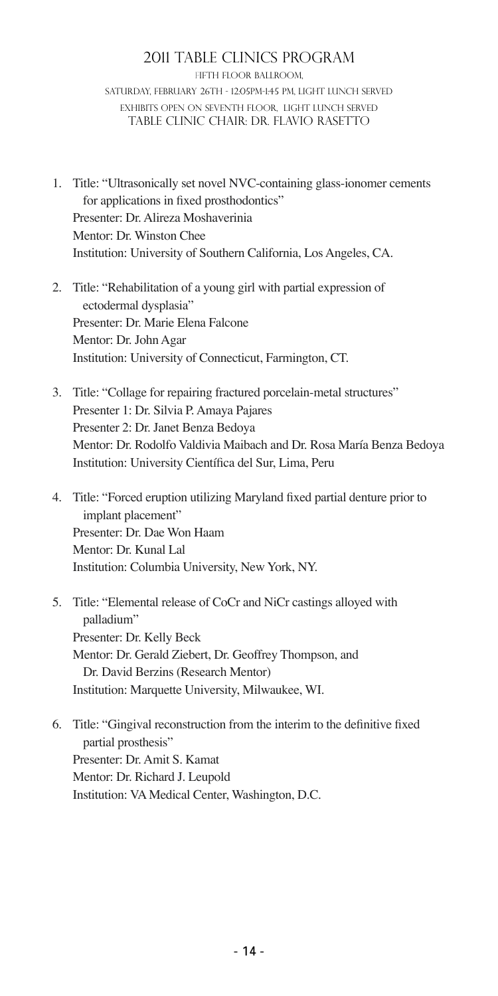#### 2011 TABLE CLINICS PROGRAM FIFTH FLOOR BALLROOM. Saturday, February 26th - 12:05PM-1:45 PM, Light lunch served EXHIBITS OPEN on seventh floor, light lunch served TABLE CLINIC CHAIr: DR. FLAVIO RASETTO

- 1. Title: "Ultrasonically set novel NVC-containing glass-ionomer cements for applications in fixed prosthodontics" Presenter: Dr. Alireza Moshaverinia Mentor: Dr. Winston Chee Institution: University of Southern California, Los Angeles, CA.
- 2. Title: "Rehabilitation of a young girl with partial expression of ectodermal dysplasia" Presenter: Dr. Marie Elena Falcone Mentor: Dr. John Agar Institution: University of Connecticut, Farmington, CT.
- 3. Title: "Collage for repairing fractured porcelain-metal structures" Presenter 1: Dr. Silvia P. Amaya Pajares Presenter 2: Dr. Janet Benza Bedoya Mentor: Dr. Rodolfo Valdivia Maibach and Dr. Rosa María Benza Bedoya Institution: University Científica del Sur, Lima, Peru
- 4. Title: "Forced eruption utilizing Maryland fixed partial denture prior to implant placement" Presenter: Dr. Dae Won Haam Mentor: Dr. Kunal Lal Institution: Columbia University, New York, NY.
- 5. Title: "Elemental release of CoCr and NiCr castings alloyed with palladium" Presenter: Dr. Kelly Beck Mentor: Dr. Gerald Ziebert, Dr. Geoffrey Thompson, and Dr. David Berzins (Research Mentor) Institution: Marquette University, Milwaukee, WI.
- 6. Title: "Gingival reconstruction from the interim to the definitive fixed partial prosthesis" Presenter: Dr. Amit S. Kamat Mentor: Dr. Richard J. Leupold Institution: VA Medical Center, Washington, D.C.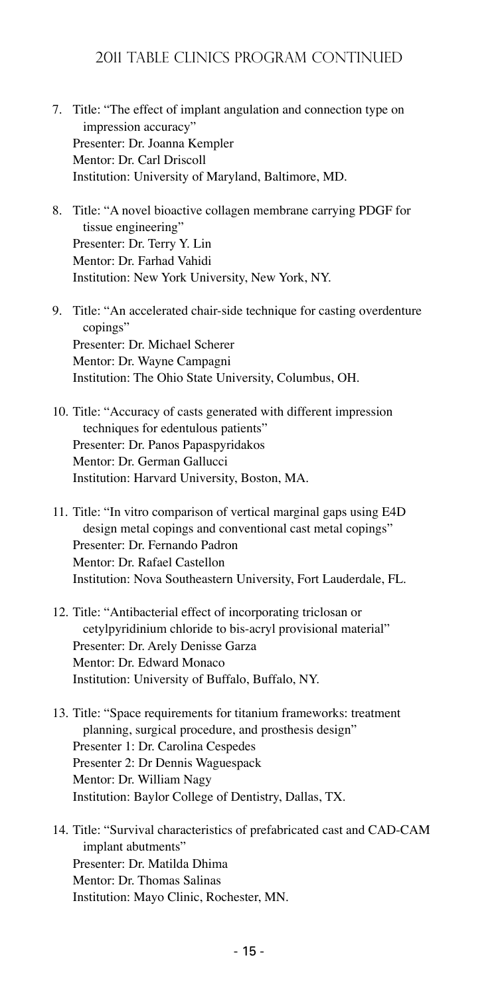- 7. Title: "The effect of implant angulation and connection type on impression accuracy" Presenter: Dr. Joanna Kempler Mentor: Dr. Carl Driscoll Institution: University of Maryland, Baltimore, MD.
- 8. Title: "A novel bioactive collagen membrane carrying PDGF for tissue engineering" Presenter: Dr. Terry Y. Lin Mentor: Dr. Farhad Vahidi Institution: New York University, New York, NY.
- 9. Title: "An accelerated chair-side technique for casting overdenture copings" Presenter: Dr. Michael Scherer Mentor: Dr. Wayne Campagni Institution: The Ohio State University, Columbus, OH.
- 10. Title: "Accuracy of casts generated with different impression techniques for edentulous patients" Presenter: Dr. Panos Papaspyridakos Mentor: Dr. German Gallucci Institution: Harvard University, Boston, MA.
- 11. Title: "In vitro comparison of vertical marginal gaps using E4D design metal copings and conventional cast metal copings" Presenter: Dr. Fernando Padron Mentor: Dr. Rafael Castellon Institution: Nova Southeastern University, Fort Lauderdale, FL.
- 12. Title: "Antibacterial effect of incorporating triclosan or cetylpyridinium chloride to bis-acryl provisional material" Presenter: Dr. Arely Denisse Garza Mentor: Dr. Edward Monaco Institution: University of Buffalo, Buffalo, NY.
- 13. Title: "Space requirements for titanium frameworks: treatment planning, surgical procedure, and prosthesis design" Presenter 1: Dr. Carolina Cespedes Presenter 2: Dr Dennis Waguespack Mentor: Dr. William Nagy Institution: Baylor College of Dentistry, Dallas, TX.
- 14. Title: "Survival characteristics of prefabricated cast and CAD-CAM implant abutments" Presenter: Dr. Matilda Dhima Mentor: Dr. Thomas Salinas Institution: Mayo Clinic, Rochester, MN.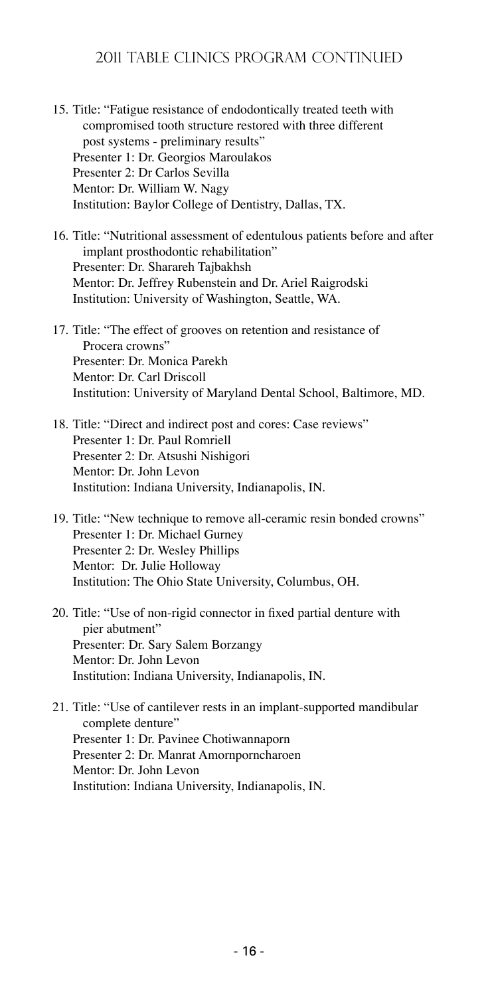- 15. Title: "Fatigue resistance of endodontically treated teeth with compromised tooth structure restored with three different post systems - preliminary results" Presenter 1: Dr. Georgios Maroulakos Presenter 2: Dr Carlos Sevilla Mentor: Dr. William W. Nagy Institution: Baylor College of Dentistry, Dallas, TX.
- 16. Title: "Nutritional assessment of edentulous patients before and after implant prosthodontic rehabilitation" Presenter: Dr. Sharareh Tajbakhsh Mentor: Dr. Jeffrey Rubenstein and Dr. Ariel Raigrodski Institution: University of Washington, Seattle, WA.
- 17. Title: "The effect of grooves on retention and resistance of Procera crowns" Presenter: Dr. Monica Parekh Mentor: Dr. Carl Driscoll Institution: University of Maryland Dental School, Baltimore, MD.
- 18. Title: "Direct and indirect post and cores: Case reviews" Presenter 1: Dr. Paul Romriell Presenter 2: Dr. Atsushi Nishigori Mentor: Dr. John Levon Institution: Indiana University, Indianapolis, IN.
- 19. Title: "New technique to remove all-ceramic resin bonded crowns" Presenter 1: Dr. Michael Gurney Presenter 2: Dr. Wesley Phillips Mentor: Dr. Julie Holloway Institution: The Ohio State University, Columbus, OH.

20. Title: "Use of non-rigid connector in fixed partial denture with pier abutment" Presenter: Dr. Sary Salem Borzangy Mentor: Dr. John Levon Institution: Indiana University, Indianapolis, IN.

21. Title: "Use of cantilever rests in an implant-supported mandibular complete denture" Presenter 1: Dr. Pavinee Chotiwannaporn Presenter 2: Dr. Manrat Amornporncharoen Mentor: Dr. John Levon Institution: Indiana University, Indianapolis, IN.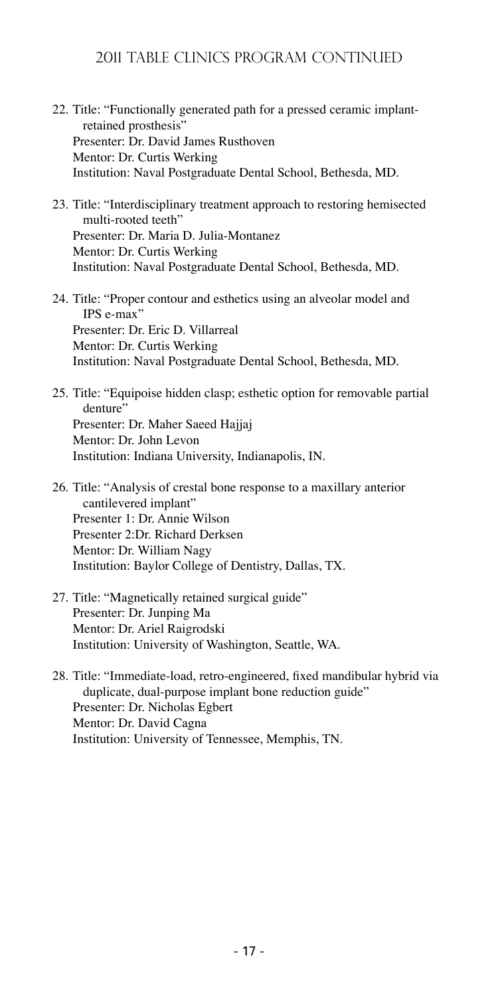- 22. Title: "Functionally generated path for a pressed ceramic implantretained prosthesis" Presenter: Dr. David James Rusthoven Mentor: Dr. Curtis Werking Institution: Naval Postgraduate Dental School, Bethesda, MD.
- 23. Title: "Interdisciplinary treatment approach to restoring hemisected multi-rooted teeth" Presenter: Dr. Maria D. Julia-Montanez Mentor: Dr. Curtis Werking Institution: Naval Postgraduate Dental School, Bethesda, MD.
- 24. Title: "Proper contour and esthetics using an alveolar model and IPS e-max" Presenter: Dr. Eric D. Villarreal Mentor: Dr. Curtis Werking Institution: Naval Postgraduate Dental School, Bethesda, MD.
- 25. Title: "Equipoise hidden clasp; esthetic option for removable partial denture" Presenter: Dr. Maher Saeed Hajjaj Mentor: Dr. John Levon Institution: Indiana University, Indianapolis, IN.

26. Title: "Analysis of crestal bone response to a maxillary anterior cantilevered implant" Presenter 1: Dr. Annie Wilson Presenter 2:Dr. Richard Derksen Mentor: Dr. William Nagy Institution: Baylor College of Dentistry, Dallas, TX.

- 27. Title: "Magnetically retained surgical guide" Presenter: Dr. Junping Ma Mentor: Dr. Ariel Raigrodski Institution: University of Washington, Seattle, WA.
- 28. Title: "Immediate-load, retro-engineered, fixed mandibular hybrid via duplicate, dual-purpose implant bone reduction guide" Presenter: Dr. Nicholas Egbert Mentor: Dr. David Cagna Institution: University of Tennessee, Memphis, TN.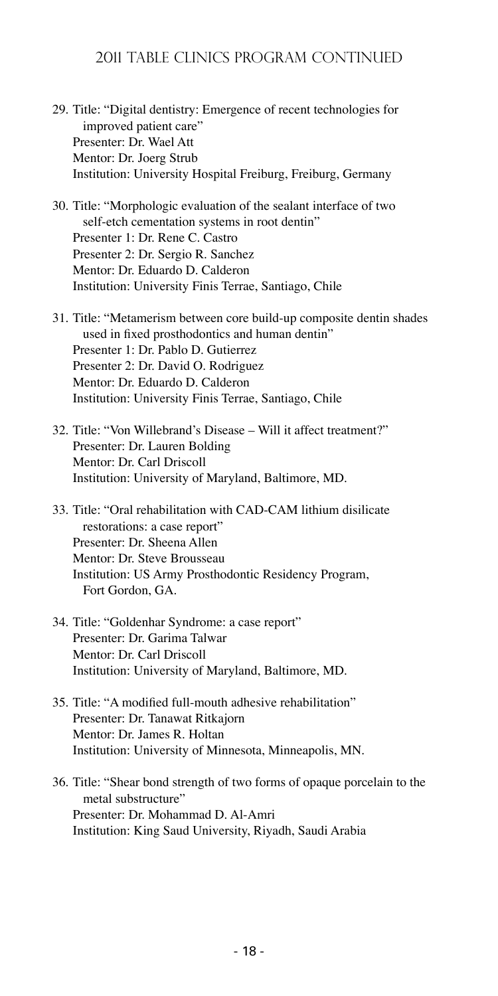- 29. Title: "Digital dentistry: Emergence of recent technologies for improved patient care" Presenter: Dr. Wael Att Mentor: Dr. Joerg Strub Institution: University Hospital Freiburg, Freiburg, Germany
- 30. Title: "Morphologic evaluation of the sealant interface of two self-etch cementation systems in root dentin" Presenter 1: Dr. Rene C. Castro Presenter 2: Dr. Sergio R. Sanchez Mentor: Dr. Eduardo D. Calderon Institution: University Finis Terrae, Santiago, Chile
- 31. Title: "Metamerism between core build-up composite dentin shades used in fixed prosthodontics and human dentin" Presenter 1: Dr. Pablo D. Gutierrez Presenter 2: Dr. David O. Rodriguez Mentor: Dr. Eduardo D. Calderon Institution: University Finis Terrae, Santiago, Chile
- 32. Title: "Von Willebrand's Disease Will it affect treatment?" Presenter: Dr. Lauren Bolding Mentor: Dr. Carl Driscoll Institution: University of Maryland, Baltimore, MD.
- 33. Title: "Oral rehabilitation with CAD-CAM lithium disilicate restorations: a case report" Presenter: Dr. Sheena Allen Mentor: Dr. Steve Brousseau Institution: US Army Prosthodontic Residency Program, Fort Gordon, GA.
- 34. Title: "Goldenhar Syndrome: a case report" Presenter: Dr. Garima Talwar Mentor: Dr. Carl Driscoll Institution: University of Maryland, Baltimore, MD.
- 35. Title: "A modified full-mouth adhesive rehabilitation" Presenter: Dr. Tanawat Ritkajorn Mentor: Dr. James R. Holtan Institution: University of Minnesota, Minneapolis, MN.

36. Title: "Shear bond strength of two forms of opaque porcelain to the metal substructure" Presenter: Dr. Mohammad D. Al-Amri Institution: King Saud University, Riyadh, Saudi Arabia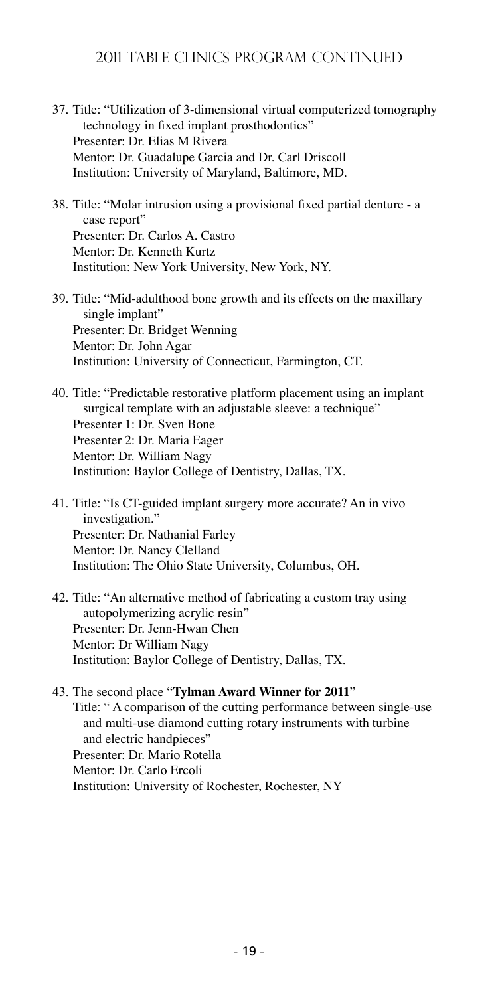### 2011 TABLE CLINICS PROGRAM CONTINUED

- 37. Title: "Utilization of 3-dimensional virtual computerized tomography technology in fixed implant prosthodontics" Presenter: Dr. Elias M Rivera Mentor: Dr. Guadalupe Garcia and Dr. Carl Driscoll Institution: University of Maryland, Baltimore, MD.
- 38. Title: "Molar intrusion using a provisional fixed partial denture a case report" Presenter: Dr. Carlos A. Castro Mentor: Dr. Kenneth Kurtz Institution: New York University, New York, NY.
- 39. Title: "Mid-adulthood bone growth and its effects on the maxillary single implant" Presenter: Dr. Bridget Wenning Mentor: Dr. John Agar Institution: University of Connecticut, Farmington, CT.
- 40. Title: "Predictable restorative platform placement using an implant surgical template with an adjustable sleeve: a technique" Presenter 1: Dr. Sven Bone Presenter 2: Dr. Maria Eager Mentor: Dr. William Nagy Institution: Baylor College of Dentistry, Dallas, TX.
- 41. Title: "Is CT-guided implant surgery more accurate? An in vivo investigation." Presenter: Dr. Nathanial Farley Mentor: Dr. Nancy Clelland Institution: The Ohio State University, Columbus, OH.
- 42. Title: "An alternative method of fabricating a custom tray using autopolymerizing acrylic resin" Presenter: Dr. Jenn-Hwan Chen Mentor: Dr William Nagy Institution: Baylor College of Dentistry, Dallas, TX.

#### 43. The second place "**Tylman Award Winner for 2011**" Title: " A comparison of the cutting performance between single-use and multi-use diamond cutting rotary instruments with turbine and electric handpieces" Presenter: Dr. Mario Rotella Mentor: Dr. Carlo Ercoli Institution: University of Rochester, Rochester, NY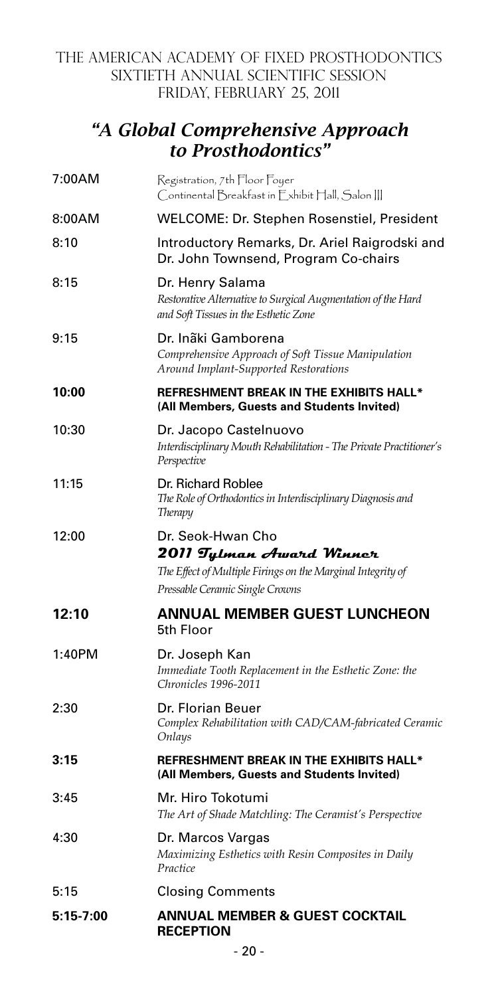### THE AMERICAN ACADEMY OF FIXED PROSTHODONTICS SIXTIETH ANNUAL SCIENTIFIC SESSION FRIDAY, FEBRUARY 25, 2011

# *"A Global Comprehensive Approach to Prosthodontics"*

| 7:00AM    | Registration, 7th Floor Foyer<br>Continental Breakfast in F xhibit Hall, Salon III                                                              |  |
|-----------|-------------------------------------------------------------------------------------------------------------------------------------------------|--|
| 8:00AM    | WELCOME: Dr. Stephen Rosenstiel, President                                                                                                      |  |
| 8:10      | Introductory Remarks, Dr. Ariel Raigrodski and<br>Dr. John Townsend, Program Co-chairs                                                          |  |
| 8:15      | Dr. Henry Salama<br>Restorative Alternative to Surgical Augmentation of the Hard<br>and Soft Tissues in the Esthetic Zone                       |  |
| 9:15      | Dr. Inãki Gamborena<br>Comprehensive Approach of Soft Tissue Manipulation<br>Around Implant-Supported Restorations                              |  |
| 10:00     | <b>REFRESHMENT BREAK IN THE EXHIBITS HALL*</b><br>(All Members, Guests and Students Invited)                                                    |  |
| 10:30     | Dr. Jacopo Castelnuovo<br>Interdisciplinary Mouth Rehabilitation - The Private Practitioner's<br>Perspective                                    |  |
| 11:15     | Dr. Richard Roblee<br>The Role of Orthodontics in Interdisciplinary Diagnosis and<br>Therapy                                                    |  |
| 12:00     | Dr. Seok-Hwan Cho<br>2011 Tylman Award Winner<br>The Effect of Multiple Firings on the Marginal Integrity of<br>Pressable Ceramic Single Crowns |  |
| 12:10     | <b>ANNUAL MEMBER GUEST LUNCHEON</b><br>5th Floor                                                                                                |  |
| 1:40PM    | Dr. Joseph Kan<br>Immediate Tooth Replacement in the Esthetic Zone: the<br>Chronicles 1996-2011                                                 |  |
| 2:30      | Dr. Florian Beuer<br>Complex Rehabilitation with CAD/CAM-fabricated Ceramic<br>Onlays                                                           |  |
| 3:15      | REFRESHMENT BREAK IN THE EXHIBITS HALL*<br>(All Members, Guests and Students Invited)                                                           |  |
| 3:45      | Mr. Hiro Tokotumi<br>The Art of Shade Matchling: The Ceramist's Perspective                                                                     |  |
| 4:30      | Dr. Marcos Vargas<br>Maximizing Esthetics with Resin Composites in Daily<br>Practice                                                            |  |
| 5:15      | <b>Closing Comments</b>                                                                                                                         |  |
| 5:15-7:00 | ANNUAL MEMBER & GUEST COCKTAIL<br><b>RECEPTION</b>                                                                                              |  |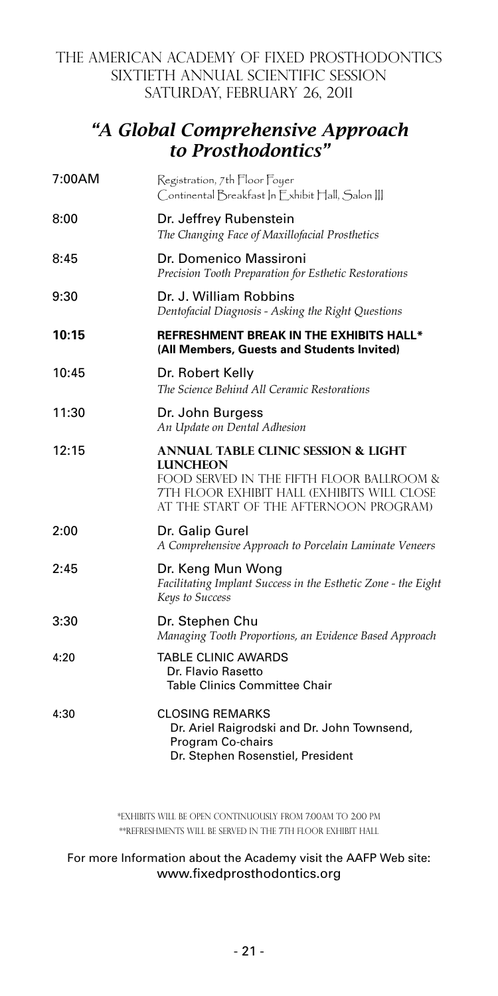### THE AMERICAN ACADEMY OF FIXED PROSTHODONTICS SIXTIETH ANNUAL SCIENTIFIC SESSION SATURDAY, FEBRUARY 26, 2011

# *"A Global Comprehensive Approach to Prosthodontics"*

| 7:00AM | Registration, 7th Floor Foyer<br>Continental Breakfast In Exhibit Hall, Salon III                                                                                                                       |
|--------|---------------------------------------------------------------------------------------------------------------------------------------------------------------------------------------------------------|
| 8:00   | Dr. Jeffrey Rubenstein<br>The Changing Face of Maxillofacial Prosthetics                                                                                                                                |
| 8:45   | Dr. Domenico Massironi<br>Precision Tooth Preparation for Esthetic Restorations                                                                                                                         |
| 9:30   | Dr. J. William Robbins<br>Dentofacial Diagnosis - Asking the Right Questions                                                                                                                            |
| 10:15  | REFRESHMENT BREAK IN THE EXHIBITS HALL*<br>(All Members, Guests and Students Invited)                                                                                                                   |
| 10:45  | Dr. Robert Kelly<br>The Science Behind All Ceramic Restorations                                                                                                                                         |
| 11:30  | Dr. John Burgess<br>An Update on Dental Adhesion                                                                                                                                                        |
| 12:15  | <b>ANNUAL TABLE CLINIC SESSION &amp; LIGHT</b><br><b>LUNCHEON</b><br>FOOD SERVED IN THE FIFTH FLOOR BALLROOM &<br>7TH FLOOR EXHIBIT HALL (EXHIBITS WILL CLOSE<br>AT THE START OF THE AFTERNOON PROGRAM) |
| 2:00   | Dr. Galip Gurel<br>A Comprehensive Approach to Porcelain Laminate Veneers                                                                                                                               |
| 2:45   | Dr. Keng Mun Wong<br>Facilitating Implant Success in the Esthetic Zone - the Eight<br>Keys to Success                                                                                                   |
| 3:30   | Dr. Stephen Chu<br>Managing Tooth Proportions, an Evidence Based Approach                                                                                                                               |
| 4:20   | TABLE CLINIC AWARDS<br>Dr. Flavio Rasetto<br>Table Clinics Committee Chair                                                                                                                              |
| 4:30   | <b>CLOSING REMARKS</b><br>Dr. Ariel Raigrodski and Dr. John Townsend,<br>Program Co-chairs<br>Dr. Stephen Rosenstiel, President                                                                         |

\*Exhibits will be open continuously from 7:00AM to 2:00 PM \*\*Refreshments will be served in the 7th Floor Exhibit Hall

#### For more Information about the Academy visit the AAFP Web site: www.fixedprosthodontics.org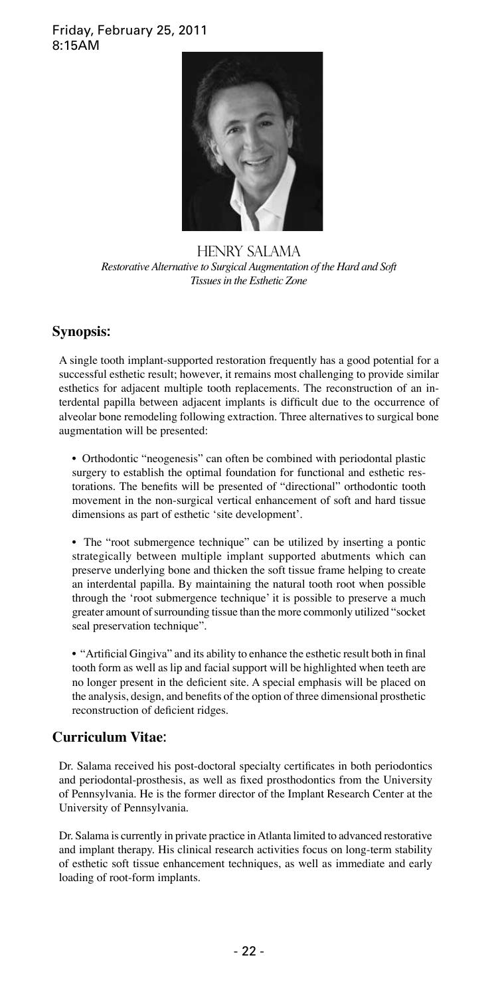#### Friday, February 25, 2011 8:15AM



HENRY SALAMA *Restorative Alternative to Surgical Augmentation of the Hard and Soft Tissues in the Esthetic Zone*

### **Synopsis:**

A single tooth implant-supported restoration frequently has a good potential for a successful esthetic result; however, it remains most challenging to provide similar esthetics for adjacent multiple tooth replacements. The reconstruction of an interdental papilla between adjacent implants is difficult due to the occurrence of alveolar bone remodeling following extraction. Three alternatives to surgical bone augmentation will be presented:

• Orthodontic "neogenesis" can often be combined with periodontal plastic surgery to establish the optimal foundation for functional and esthetic restorations. The benefits will be presented of "directional" orthodontic tooth movement in the non-surgical vertical enhancement of soft and hard tissue dimensions as part of esthetic 'site development'.

• The "root submergence technique" can be utilized by inserting a pontic strategically between multiple implant supported abutments which can preserve underlying bone and thicken the soft tissue frame helping to create an interdental papilla. By maintaining the natural tooth root when possible through the 'root submergence technique' it is possible to preserve a much greater amount of surrounding tissue than the more commonly utilized "socket seal preservation technique".

• "Artificial Gingiva" and its ability to enhance the esthetic result both in final tooth form as well as lip and facial support will be highlighted when teeth are no longer present in the deficient site. A special emphasis will be placed on the analysis, design, and benefits of the option of three dimensional prosthetic reconstruction of deficient ridges.

### **Curriculum Vitae**:

Dr. Salama received his post-doctoral specialty certificates in both periodontics and periodontal-prosthesis, as well as fixed prosthodontics from the University of Pennsylvania. He is the former director of the Implant Research Center at the University of Pennsylvania.

Dr. Salama is currently in private practice in Atlanta limited to advanced restorative and implant therapy. His clinical research activities focus on long-term stability of esthetic soft tissue enhancement techniques, as well as immediate and early loading of root-form implants.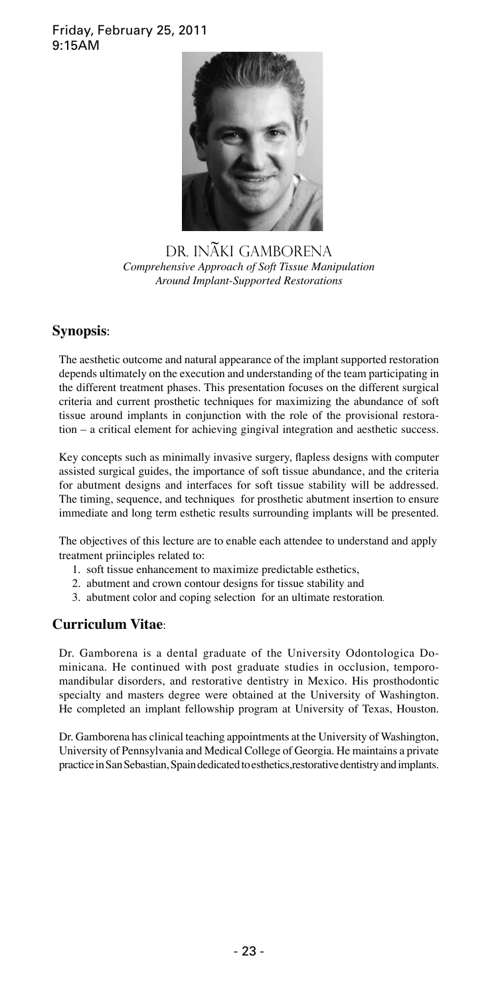### Friday, February 25, 2011 9:15AM



DR. INAKI GAMBORENA *Comprehensive Approach of Soft Tissue Manipulation Around Implant-Supported Restorations*

### **Synopsis**:

The aesthetic outcome and natural appearance of the implant supported restoration depends ultimately on the execution and understanding of the team participating in the different treatment phases. This presentation focuses on the different surgical criteria and current prosthetic techniques for maximizing the abundance of soft tissue around implants in conjunction with the role of the provisional restoration – a critical element for achieving gingival integration and aesthetic success.

Key concepts such as minimally invasive surgery, flapless designs with computer assisted surgical guides, the importance of soft tissue abundance, and the criteria for abutment designs and interfaces for soft tissue stability will be addressed. The timing, sequence, and techniques for prosthetic abutment insertion to ensure immediate and long term esthetic results surrounding implants will be presented.

The objectives of this lecture are to enable each attendee to understand and apply treatment priinciples related to:

- 1. soft tissue enhancement to maximize predictable esthetics,
- 2. abutment and crown contour designs for tissue stability and
- 3. abutment color and coping selection for an ultimate restoration.

### **Curriculum Vitae**:

Dr. Gamborena is a dental graduate of the University Odontologica Dominicana. He continued with post graduate studies in occlusion, temporomandibular disorders, and restorative dentistry in Mexico. His prosthodontic specialty and masters degree were obtained at the University of Washington. He completed an implant fellowship program at University of Texas, Houston.

Dr. Gamborena has clinical teaching appointments at the University of Washington, University of Pennsylvania and Medical College of Georgia. He maintains a private practice in San Sebastian, Spain dedicated to esthetics,restorative dentistry and implants.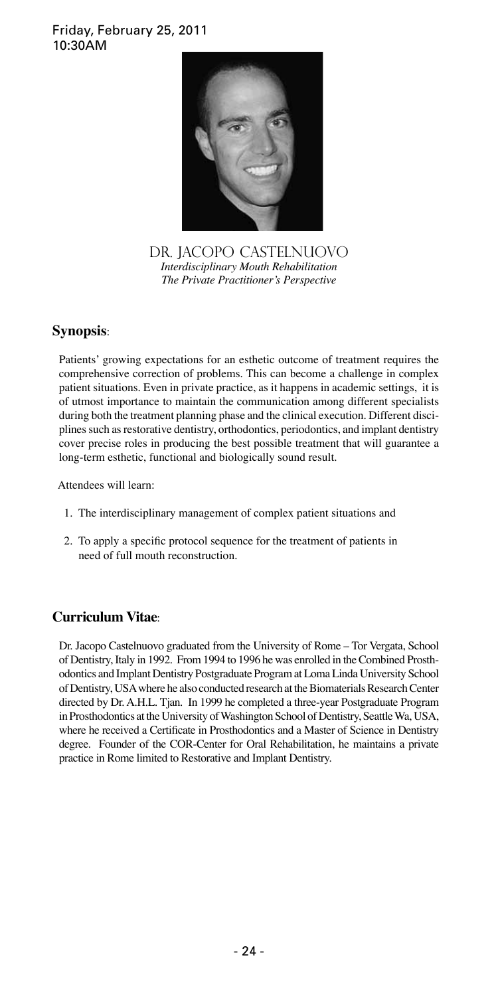### Friday, February 25, 2011 10:30AM



DR. JACOPO CASTELNUOVO *Interdisciplinary Mouth Rehabilitation The Private Practitioner's Perspective*

### **Synopsis**:

Patients' growing expectations for an esthetic outcome of treatment requires the comprehensive correction of problems. This can become a challenge in complex patient situations. Even in private practice, as it happens in academic settings, it is of utmost importance to maintain the communication among different specialists during both the treatment planning phase and the clinical execution. Different disciplines such as restorative dentistry, orthodontics, periodontics, and implant dentistry cover precise roles in producing the best possible treatment that will guarantee a long-term esthetic, functional and biologically sound result.

Attendees will learn:

- 1. The interdisciplinary management of complex patient situations and
- 2. To apply a specific protocol sequence for the treatment of patients in need of full mouth reconstruction.

### **Curriculum Vitae**:

Dr. Jacopo Castelnuovo graduated from the University of Rome – Tor Vergata, School of Dentistry, Italy in 1992. From 1994 to 1996 he was enrolled in the Combined Prosthodontics and Implant Dentistry Postgraduate Program at Loma Linda University School of Dentistry, USA where he also conducted research at the Biomaterials Research Center directed by Dr. A.H.L. Tjan. In 1999 he completed a three-year Postgraduate Program in Prosthodontics at the University of Washington School of Dentistry, Seattle Wa, USA, where he received a Certificate in Prosthodontics and a Master of Science in Dentistry degree. Founder of the COR-Center for Oral Rehabilitation, he maintains a private practice in Rome limited to Restorative and Implant Dentistry.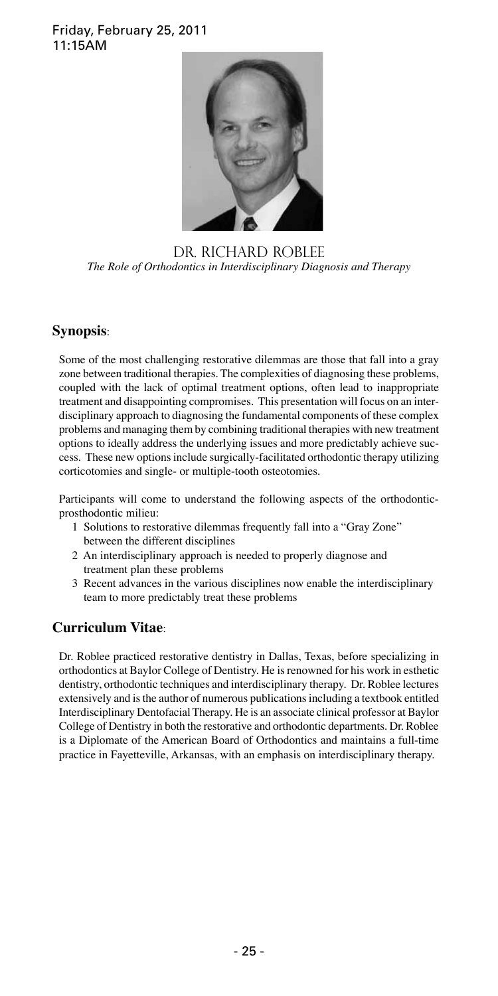### Friday, February 25, 2011 11:15AM



DR. RICHARD ROBLEE *The Role of Orthodontics in Interdisciplinary Diagnosis and Therapy*

### **Synopsis**:

Some of the most challenging restorative dilemmas are those that fall into a gray zone between traditional therapies. The complexities of diagnosing these problems, coupled with the lack of optimal treatment options, often lead to inappropriate treatment and disappointing compromises. This presentation will focus on an interdisciplinary approach to diagnosing the fundamental components of these complex problems and managing them by combining traditional therapies with new treatment options to ideally address the underlying issues and more predictably achieve success. These new options include surgically-facilitated orthodontic therapy utilizing corticotomies and single- or multiple-tooth osteotomies.

Participants will come to understand the following aspects of the orthodonticprosthodontic milieu:

- 1 Solutions to restorative dilemmas frequently fall into a "Gray Zone" between the different disciplines
- 2 An interdisciplinary approach is needed to properly diagnose and treatment plan these problems
- 3 Recent advances in the various disciplines now enable the interdisciplinary team to more predictably treat these problems

### **Curriculum Vitae**:

Dr. Roblee practiced restorative dentistry in Dallas, Texas, before specializing in orthodontics at Baylor College of Dentistry. He is renowned for his work in esthetic dentistry, orthodontic techniques and interdisciplinary therapy. Dr. Roblee lectures extensively and is the author of numerous publications including a textbook entitled Interdisciplinary Dentofacial Therapy. He is an associate clinical professor at Baylor College of Dentistry in both the restorative and orthodontic departments. Dr. Roblee is a Diplomate of the American Board of Orthodontics and maintains a full-time practice in Fayetteville, Arkansas, with an emphasis on interdisciplinary therapy.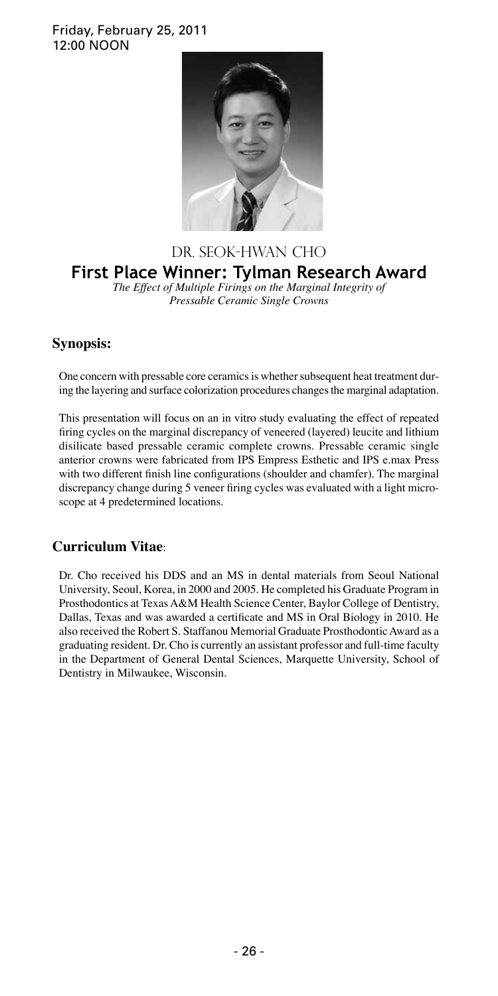#### Friday, February 25, 2011 12:00 NOON



#### DR. SEOK-HWAN CHO **First Place Winner: Tylman Research Award**  *The Effect of Multiple Firings on the Marginal Integrity of Pressable Ceramic Single Crowns*

### **Synopsis:**

One concern with pressable core ceramics is whether subsequent heat treatment during the layering and surface colorization procedures changes the marginal adaptation.

This presentation will focus on an in vitro study evaluating the effect of repeated firing cycles on the marginal discrepancy of veneered (layered) leucite and lithium disilicate based pressable ceramic complete crowns. Pressable ceramic single anterior crowns were fabricated from IPS Empress Esthetic and IPS e.max Press with two different finish line configurations (shoulder and chamfer). The marginal discrepancy change during 5 veneer firing cycles was evaluated with a light microscope at 4 predetermined locations.

### **Curriculum Vitae**:

Dr. Cho received his DDS and an MS in dental materials from Seoul National University, Seoul, Korea, in 2000 and 2005. He completed his Graduate Program in Prosthodontics at Texas A&M Health Science Center, Baylor College of Dentistry, Dallas, Texas and was awarded a certificate and MS in Oral Biology in 2010. He also received the Robert S. Staffanou Memorial Graduate Prosthodontic Award as a graduating resident. Dr. Cho is currently an assistant professor and full-time faculty in the Department of General Dental Sciences, Marquette University, School of Dentistry in Milwaukee, Wisconsin.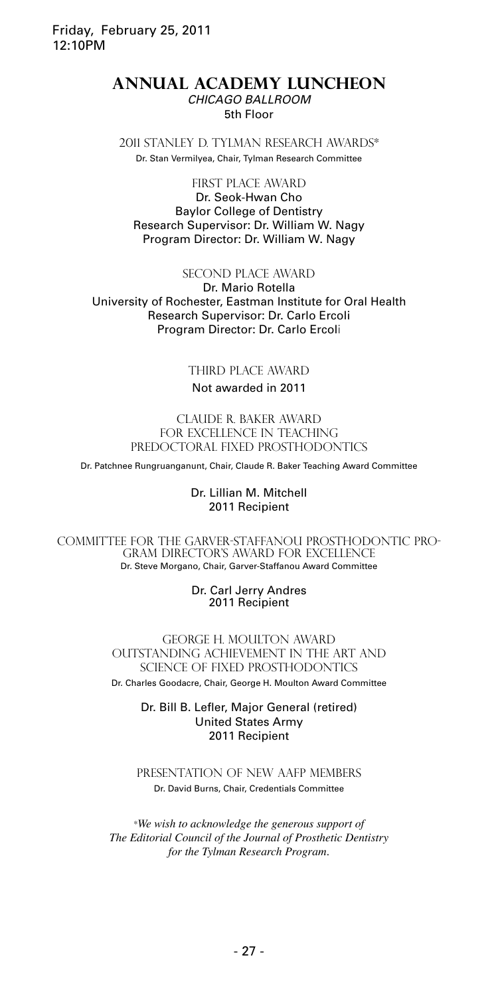#### Friday, February 25, 2011 12:10PM

#### **ANNUAL ACADEMY LUNCHEON** *CHICAGO BALLROOM* 5th Floor

2011 STANLEY D. TYLMAN RESEARCH AWARDS\* Dr. Stan Vermilyea, Chair, Tylman Research Committee

# FIRST PLACE AWARD

Dr. Seok-Hwan Cho Baylor College of Dentistry Research Supervisor: Dr. William W. Nagy Program Director: Dr. William W. Nagy

#### SECOND PLACE AWARD

Dr. Mario Rotella University of Rochester, Eastman Institute for Oral Health Research Supervisor: Dr. Carlo Ercoli Program Director: Dr. Carlo Ercoli

#### THIRD PLACE AWARD

#### Not awarded in 2011

claude r. baker award FOR EXCELLENCE IN TEACHING PREDOCTORAL FIXED PROSTHODONTICS

Dr. Patchnee Rungruanganunt, Chair, Claude R. Baker Teaching Award Committee

#### Dr. Lillian M. Mitchell 2011 Recipient

Committee for the Garver-Staffanou Prosthodontic Program Director's Award for Excellence Dr. Steve Morgano, Chair, Garver-Staffanou Award Committee

> Dr. Carl Jerry Andres 2011 Recipient

GEORGE H. MOULTON AWARD OUTSTANDING ACHIEVEMENT IN THE ART AND SCIENCE OF FIXED PROSTHODONTICS Dr. Charles Goodacre, Chair, George H. Moulton Award Committee

> Dr. Bill B. Lefler, Major General (retired) United States Army 2011 Recipient

PRESENTATION OF NEW AAFP MEMBERS Dr. David Burns, Chair, Credentials Committee

\**We wish to acknowledge the generous support of The Editorial Council of the Journal of Prosthetic Dentistry for the Tylman Research Program.*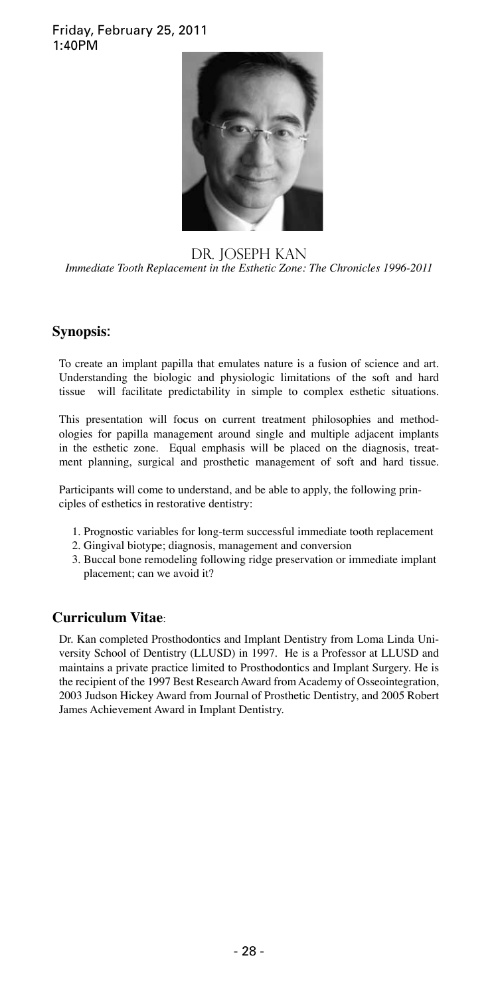#### Friday, February 25, 2011 1:40PM



#### DR. JOSEPH KAN *Immediate Tooth Replacement in the Esthetic Zone: The Chronicles 1996-2011*

### **Synopsis**:

To create an implant papilla that emulates nature is a fusion of science and art. Understanding the biologic and physiologic limitations of the soft and hard tissue will facilitate predictability in simple to complex esthetic situations.

This presentation will focus on current treatment philosophies and methodologies for papilla management around single and multiple adjacent implants in the esthetic zone. Equal emphasis will be placed on the diagnosis, treatment planning, surgical and prosthetic management of soft and hard tissue.

Participants will come to understand, and be able to apply, the following principles of esthetics in restorative dentistry:

- 1. Prognostic variables for long-term successful immediate tooth replacement
- 2. Gingival biotype; diagnosis, management and conversion
- 3. Buccal bone remodeling following ridge preservation or immediate implant placement; can we avoid it?

### **Curriculum Vitae**:

Dr. Kan completed Prosthodontics and Implant Dentistry from Loma Linda University School of Dentistry (LLUSD) in 1997. He is a Professor at LLUSD and maintains a private practice limited to Prosthodontics and Implant Surgery. He is the recipient of the 1997 Best Research Award from Academy of Osseointegration, 2003 Judson Hickey Award from Journal of Prosthetic Dentistry, and 2005 Robert James Achievement Award in Implant Dentistry.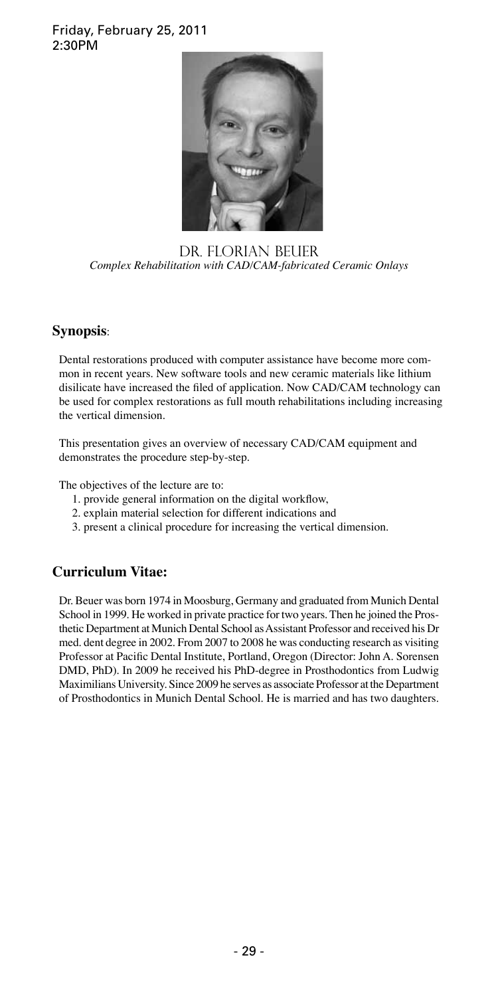#### Friday, February 25, 2011 2:30PM



Dr. florian Beuer *Complex Rehabilitation with CAD/CAM-fabricated Ceramic Onlays*

### **Synopsis**:

Dental restorations produced with computer assistance have become more common in recent years. New software tools and new ceramic materials like lithium disilicate have increased the filed of application. Now CAD/CAM technology can be used for complex restorations as full mouth rehabilitations including increasing the vertical dimension.

This presentation gives an overview of necessary CAD/CAM equipment and demonstrates the procedure step-by-step.

The objectives of the lecture are to:

- 1. provide general information on the digital workflow,
- 2. explain material selection for different indications and
- 3. present a clinical procedure for increasing the vertical dimension.

### **Curriculum Vitae:**

Dr. Beuer was born 1974 in Moosburg, Germany and graduated from Munich Dental School in 1999. He worked in private practice for two years. Then he joined the Prosthetic Department at Munich Dental School as Assistant Professor and received his Dr med. dent degree in 2002. From 2007 to 2008 he was conducting research as visiting Professor at Pacific Dental Institute, Portland, Oregon (Director: John A. Sorensen DMD, PhD). In 2009 he received his PhD-degree in Prosthodontics from Ludwig Maximilians University. Since 2009 he serves as associate Professor at the Department of Prosthodontics in Munich Dental School. He is married and has two daughters.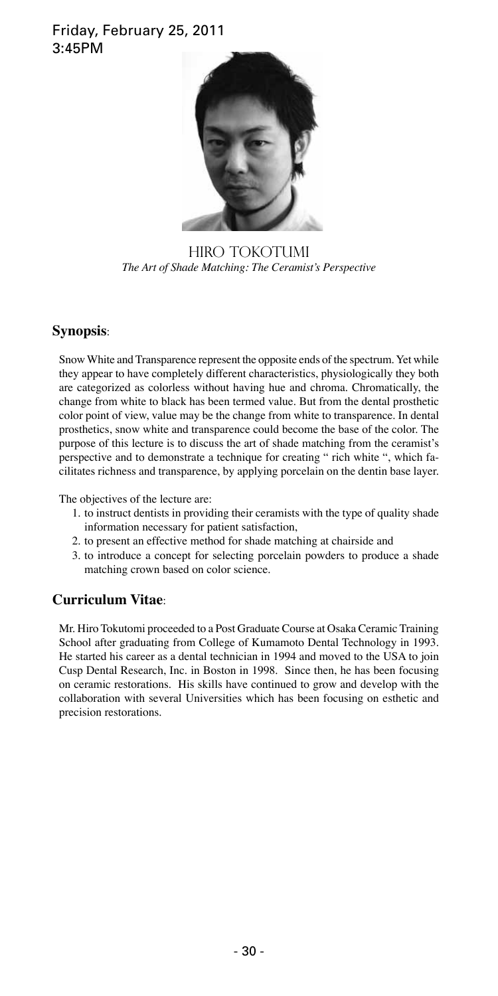### Friday, February 25, 2011 3:45PM



HIRO TOKOTUMI *The Art of Shade Matching: The Ceramist's Perspective*

### **Synopsis**:

Snow White and Transparence represent the opposite ends of the spectrum. Yet while they appear to have completely different characteristics, physiologically they both are categorized as colorless without having hue and chroma. Chromatically, the change from white to black has been termed value. But from the dental prosthetic color point of view, value may be the change from white to transparence. In dental prosthetics, snow white and transparence could become the base of the color. The purpose of this lecture is to discuss the art of shade matching from the ceramist's perspective and to demonstrate a technique for creating " rich white ", which facilitates richness and transparence, by applying porcelain on the dentin base layer.

The objectives of the lecture are:

- 1. to instruct dentists in providing their ceramists with the type of quality shade information necessary for patient satisfaction,
- 2. to present an effective method for shade matching at chairside and
- 3. to introduce a concept for selecting porcelain powders to produce a shade matching crown based on color science.

### **Curriculum Vitae**:

Mr. Hiro Tokutomi proceeded to a Post Graduate Course at Osaka Ceramic Training School after graduating from College of Kumamoto Dental Technology in 1993. He started his career as a dental technician in 1994 and moved to the USA to join Cusp Dental Research, Inc. in Boston in 1998. Since then, he has been focusing on ceramic restorations. His skills have continued to grow and develop with the collaboration with several Universities which has been focusing on esthetic and precision restorations.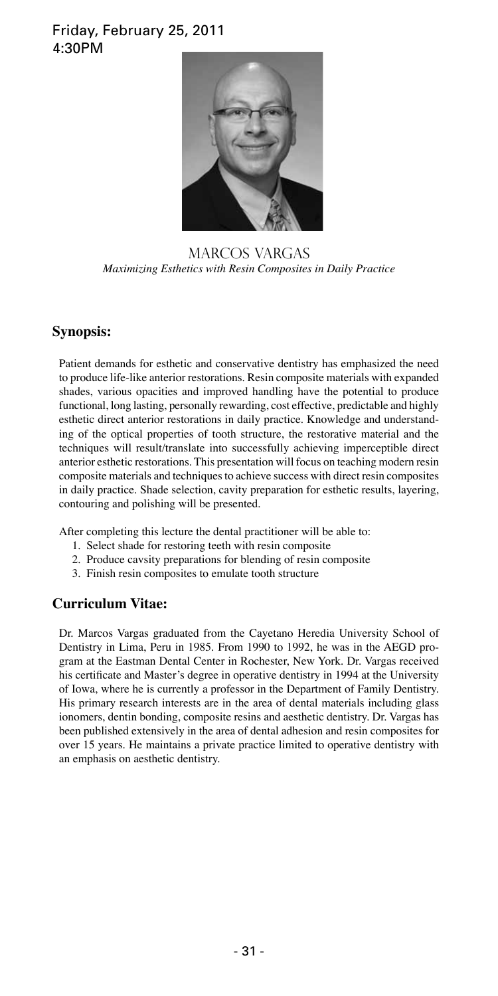### Friday, February 25, 2011 4:30PM



MARCOS VARGAS *Maximizing Esthetics with Resin Composites in Daily Practice*

### **Synopsis:**

Patient demands for esthetic and conservative dentistry has emphasized the need to produce life-like anterior restorations. Resin composite materials with expanded shades, various opacities and improved handling have the potential to produce functional, long lasting, personally rewarding, cost effective, predictable and highly esthetic direct anterior restorations in daily practice. Knowledge and understanding of the optical properties of tooth structure, the restorative material and the techniques will result/translate into successfully achieving imperceptible direct anterior esthetic restorations. This presentation will focus on teaching modern resin composite materials and techniques to achieve success with direct resin composites in daily practice. Shade selection, cavity preparation for esthetic results, layering, contouring and polishing will be presented.

After completing this lecture the dental practitioner will be able to:

- 1. Select shade for restoring teeth with resin composite
- 2. Produce cavsity preparations for blending of resin composite
- 3. Finish resin composites to emulate tooth structure

### **Curriculum Vitae:**

Dr. Marcos Vargas graduated from the Cayetano Heredia University School of Dentistry in Lima, Peru in 1985. From 1990 to 1992, he was in the AEGD program at the Eastman Dental Center in Rochester, New York. Dr. Vargas received his certificate and Master's degree in operative dentistry in 1994 at the University of Iowa, where he is currently a professor in the Department of Family Dentistry. His primary research interests are in the area of dental materials including glass ionomers, dentin bonding, composite resins and aesthetic dentistry. Dr. Vargas has been published extensively in the area of dental adhesion and resin composites for over 15 years. He maintains a private practice limited to operative dentistry with an emphasis on aesthetic dentistry.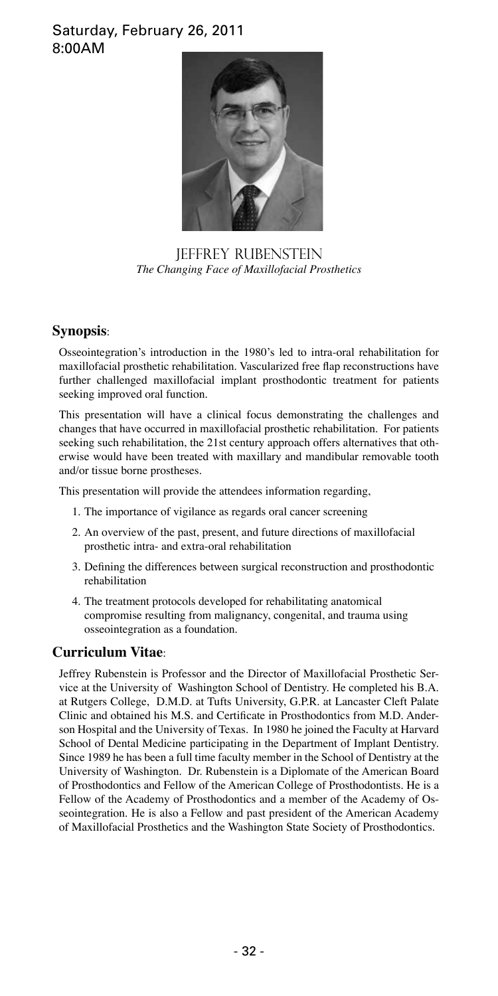### Saturday, February 26, 2011 8:00AM



JEFFREY RUBENSTEIN *The Changing Face of Maxillofacial Prosthetics*

#### **Synopsis**:

Osseointegration's introduction in the 1980's led to intra-oral rehabilitation for maxillofacial prosthetic rehabilitation. Vascularized free flap reconstructions have further challenged maxillofacial implant prosthodontic treatment for patients seeking improved oral function.

This presentation will have a clinical focus demonstrating the challenges and changes that have occurred in maxillofacial prosthetic rehabilitation. For patients seeking such rehabilitation, the 21st century approach offers alternatives that otherwise would have been treated with maxillary and mandibular removable tooth and/or tissue borne prostheses.

This presentation will provide the attendees information regarding,

- 1. The importance of vigilance as regards oral cancer screening
- 2. An overview of the past, present, and future directions of maxillofacial prosthetic intra- and extra-oral rehabilitation
- 3. Defining the differences between surgical reconstruction and prosthodontic rehabilitation
- 4. The treatment protocols developed for rehabilitating anatomical compromise resulting from malignancy, congenital, and trauma using osseointegration as a foundation.

### **Curriculum Vitae**:

Jeffrey Rubenstein is Professor and the Director of Maxillofacial Prosthetic Service at the University of Washington School of Dentistry. He completed his B.A. at Rutgers College, D.M.D. at Tufts University, G.P.R. at Lancaster Cleft Palate Clinic and obtained his M.S. and Certificate in Prosthodontics from M.D. Anderson Hospital and the University of Texas. In 1980 he joined the Faculty at Harvard School of Dental Medicine participating in the Department of Implant Dentistry. Since 1989 he has been a full time faculty member in the School of Dentistry at the University of Washington. Dr. Rubenstein is a Diplomate of the American Board of Prosthodontics and Fellow of the American College of Prosthodontists. He is a Fellow of the Academy of Prosthodontics and a member of the Academy of Osseointegration. He is also a Fellow and past president of the American Academy of Maxillofacial Prosthetics and the Washington State Society of Prosthodontics.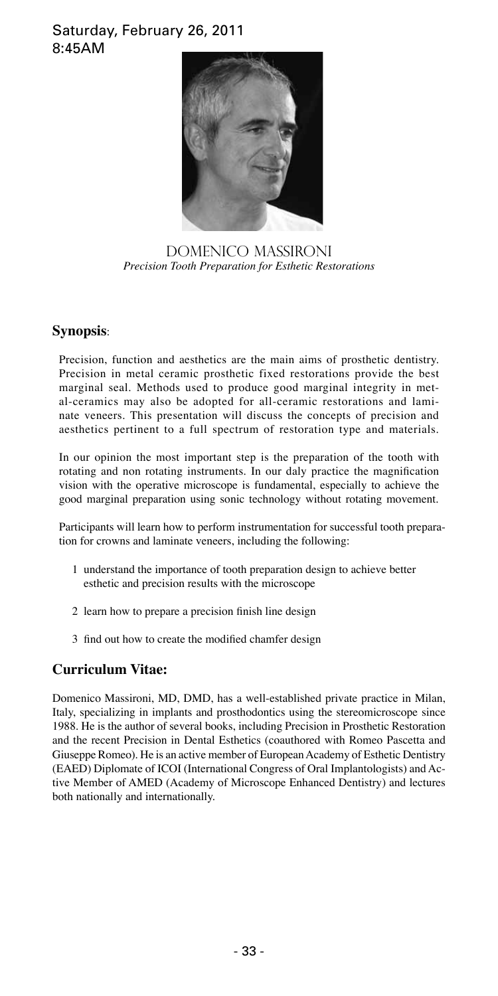### Saturday, February 26, 2011 8:45AM



DOMENICO MASSIRONI *Precision Tooth Preparation for Esthetic Restorations*

### **Synopsis**:

Precision, function and aesthetics are the main aims of prosthetic dentistry. Precision in metal ceramic prosthetic fixed restorations provide the best marginal seal. Methods used to produce good marginal integrity in metal-ceramics may also be adopted for all-ceramic restorations and laminate veneers. This presentation will discuss the concepts of precision and aesthetics pertinent to a full spectrum of restoration type and materials.

In our opinion the most important step is the preparation of the tooth with rotating and non rotating instruments. In our daly practice the magnification vision with the operative microscope is fundamental, especially to achieve the good marginal preparation using sonic technology without rotating movement.

Participants will learn how to perform instrumentation for successful tooth preparation for crowns and laminate veneers, including the following:

- 1 understand the importance of tooth preparation design to achieve better esthetic and precision results with the microscope
- 2 learn how to prepare a precision finish line design
- 3 find out how to create the modified chamfer design

### **Curriculum Vitae:**

Domenico Massironi, MD, DMD, has a well-established private practice in Milan, Italy, specializing in implants and prosthodontics using the stereomicroscope since 1988. He is the author of several books, including Precision in Prosthetic Restoration and the recent Precision in Dental Esthetics (coauthored with Romeo Pascetta and Giuseppe Romeo). He is an active member of European Academy of Esthetic Dentistry (EAED) Diplomate of ICOI (International Congress of Oral Implantologists) and Active Member of AMED (Academy of Microscope Enhanced Dentistry) and lectures both nationally and internationally.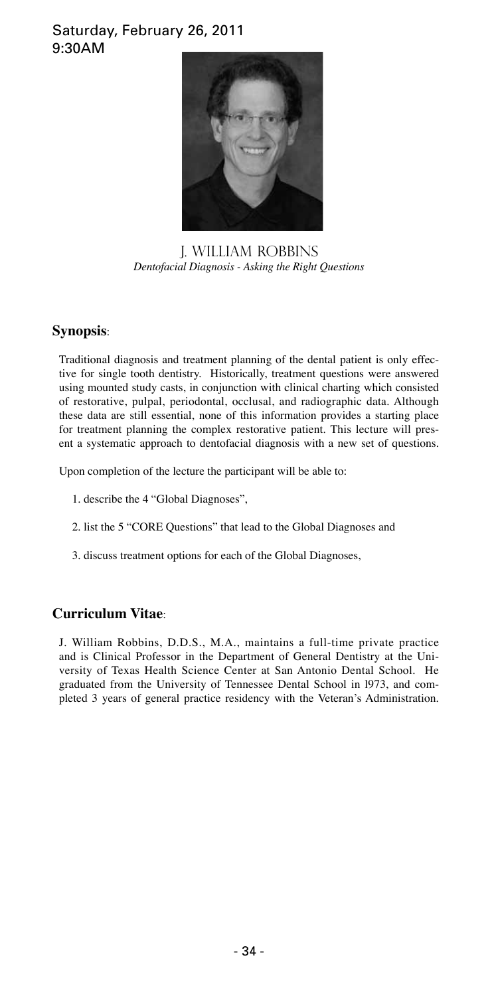### Saturday, February 26, 2011 9:30AM



j. william robbins *Dentofacial Diagnosis - Asking the Right Questions*

### **Synopsis**:

Traditional diagnosis and treatment planning of the dental patient is only effective for single tooth dentistry. Historically, treatment questions were answered using mounted study casts, in conjunction with clinical charting which consisted of restorative, pulpal, periodontal, occlusal, and radiographic data. Although these data are still essential, none of this information provides a starting place for treatment planning the complex restorative patient. This lecture will present a systematic approach to dentofacial diagnosis with a new set of questions.

Upon completion of the lecture the participant will be able to:

- 1. describe the 4 "Global Diagnoses",
- 2. list the 5 "CORE Questions" that lead to the Global Diagnoses and
- 3. discuss treatment options for each of the Global Diagnoses,

### **Curriculum Vitae**:

J. William Robbins, D.D.S., M.A., maintains a full-time private practice and is Clinical Professor in the Department of General Dentistry at the University of Texas Health Science Center at San Antonio Dental School. He graduated from the University of Tennessee Dental School in l973, and completed 3 years of general practice residency with the Veteran's Administration.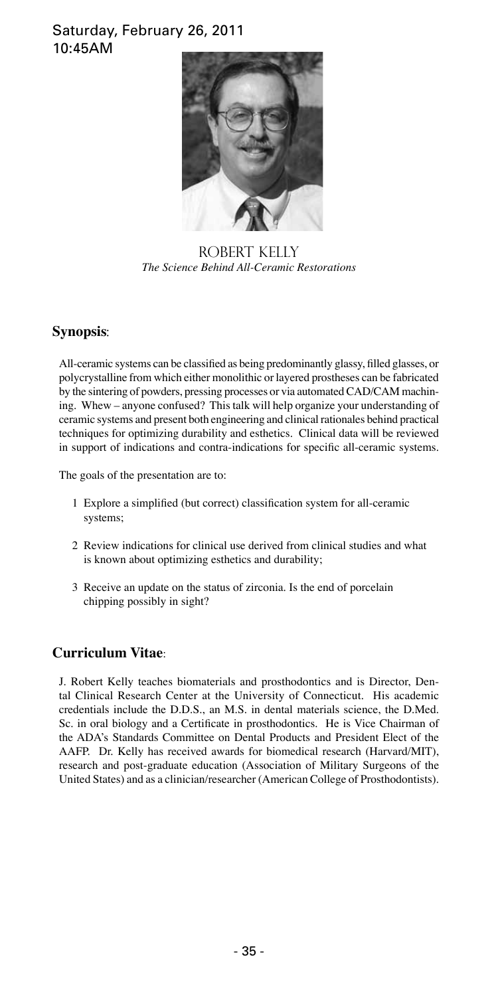### Saturday, February 26, 2011 10:45AM



ROBERT KELLY *The Science Behind All-Ceramic Restorations*

### **Synopsis**:

All-ceramic systems can be classified as being predominantly glassy, filled glasses, or polycrystalline from which either monolithic or layered prostheses can be fabricated by the sintering of powders, pressing processes or via automated CAD/CAM machining. Whew – anyone confused? This talk will help organize your understanding of ceramic systems and present both engineering and clinical rationales behind practical techniques for optimizing durability and esthetics. Clinical data will be reviewed in support of indications and contra-indications for specific all-ceramic systems.

The goals of the presentation are to:

- 1 Explore a simplified (but correct) classification system for all-ceramic systems;
- 2 Review indications for clinical use derived from clinical studies and what is known about optimizing esthetics and durability;
- 3 Receive an update on the status of zirconia. Is the end of porcelain chipping possibly in sight?

### **Curriculum Vitae**:

J. Robert Kelly teaches biomaterials and prosthodontics and is Director, Dental Clinical Research Center at the University of Connecticut. His academic credentials include the D.D.S., an M.S. in dental materials science, the D.Med. Sc. in oral biology and a Certificate in prosthodontics. He is Vice Chairman of the ADA's Standards Committee on Dental Products and President Elect of the AAFP. Dr. Kelly has received awards for biomedical research (Harvard/MIT), research and post-graduate education (Association of Military Surgeons of the United States) and as a clinician/researcher (American College of Prosthodontists).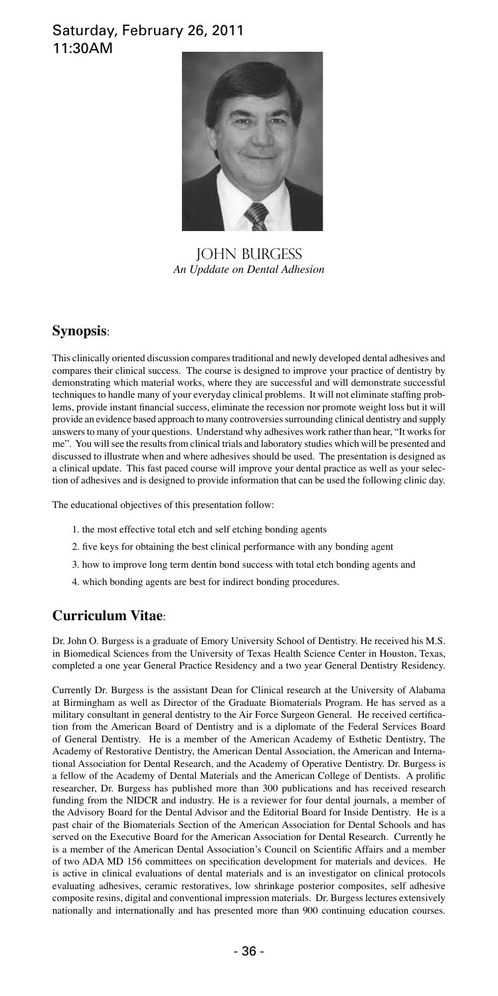### Saturday, February 26, 2011 11:30AM



JOHN BURGESS *An Upddate on Dental Adhesion*

### **Synopsis**:

This clinically oriented discussion compares traditional and newly developed dental adhesives and compares their clinical success. The course is designed to improve your practice of dentistry by demonstrating which material works, where they are successful and will demonstrate successful techniques to handle many of your everyday clinical problems. It will not eliminate staffing problems, provide instant financial success, eliminate the recession nor promote weight loss but it will provide an evidence based approach to many controversies surrounding clinical dentistry and supply answers to many of your questions. Understand why adhesives work rather than hear, "It works for me". You will see the results from clinical trials and laboratory studies which will be presented and discussed to illustrate when and where adhesives should be used. The presentation is designed as a clinical update. This fast paced course will improve your dental practice as well as your selection of adhesives and is designed to provide information that can be used the following clinic day.

The educational objectives of this presentation follow:

- 1. the most effective total etch and self etching bonding agents
- 2. five keys for obtaining the best clinical performance with any bonding agent
- 3. how to improve long term dentin bond success with total etch bonding agents and
- 4. which bonding agents are best for indirect bonding procedures.

### **Curriculum Vitae**:

Dr. John O. Burgess is a graduate of Emory University School of Dentistry. He received his M.S. in Biomedical Sciences from the University of Texas Health Science Center in Houston, Texas, completed a one year General Practice Residency and a two year General Dentistry Residency.

Currently Dr. Burgess is the assistant Dean for Clinical research at the University of Alabama at Birmingham as well as Director of the Graduate Biomaterials Program. He has served as a military consultant in general dentistry to the Air Force Surgeon General. He received certification from the American Board of Dentistry and is a diplomate of the Federal Services Board of General Dentistry. He is a member of the American Academy of Esthetic Dentistry, The Academy of Restorative Dentistry, the American Dental Association, the American and International Association for Dental Research, and the Academy of Operative Dentistry. Dr. Burgess is a fellow of the Academy of Dental Materials and the American College of Dentists. A prolific researcher, Dr. Burgess has published more than 300 publications and has received research funding from the NIDCR and industry. He is a reviewer for four dental journals, a member of the Advisory Board for the Dental Advisor and the Editorial Board for Inside Dentistry. He is a past chair of the Biomaterials Section of the American Association for Dental Schools and has served on the Executive Board for the American Association for Dental Research. Currently he is a member of the American Dental Association's Council on Scientific Affairs and a member of two ADA MD 156 committees on specification development for materials and devices. He is active in clinical evaluations of dental materials and is an investigator on clinical protocols evaluating adhesives, ceramic restoratives, low shrinkage posterior composites, self adhesive composite resins, digital and conventional impression materials. Dr. Burgess lectures extensively nationally and internationally and has presented more than 900 continuing education courses.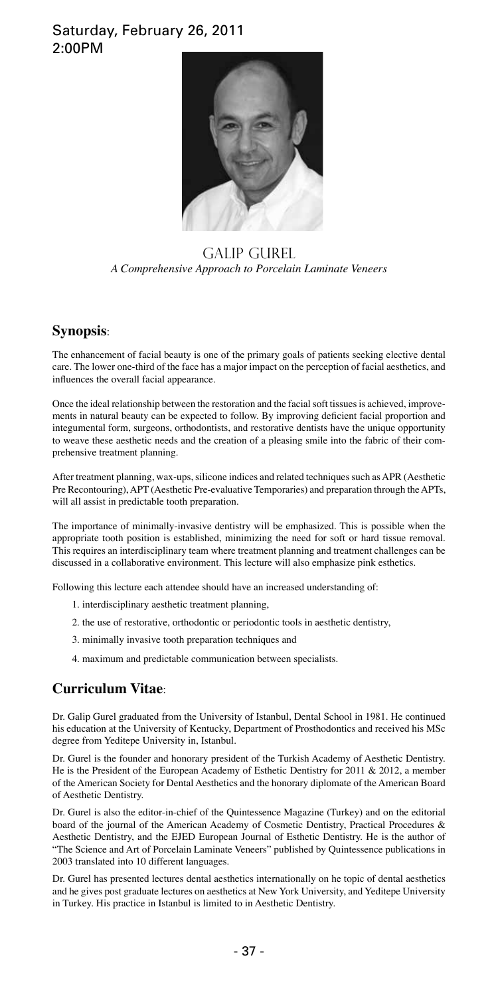### Saturday, February 26, 2011 2:00PM



#### GALIP GUREL *A Comprehensive Approach to Porcelain Laminate Veneers*

#### **Synopsis**:

The enhancement of facial beauty is one of the primary goals of patients seeking elective dental care. The lower one-third of the face has a major impact on the perception of facial aesthetics, and influences the overall facial appearance.

Once the ideal relationship between the restoration and the facial soft tissues is achieved, improvements in natural beauty can be expected to follow. By improving deficient facial proportion and integumental form, surgeons, orthodontists, and restorative dentists have the unique opportunity to weave these aesthetic needs and the creation of a pleasing smile into the fabric of their comprehensive treatment planning.

After treatment planning, wax-ups, silicone indices and related techniques such as APR (Aesthetic Pre Recontouring), APT (Aesthetic Pre-evaluative Temporaries) and preparation through the APTs, will all assist in predictable tooth preparation.

The importance of minimally-invasive dentistry will be emphasized. This is possible when the appropriate tooth position is established, minimizing the need for soft or hard tissue removal. This requires an interdisciplinary team where treatment planning and treatment challenges can be discussed in a collaborative environment. This lecture will also emphasize pink esthetics.

Following this lecture each attendee should have an increased understanding of:

- 1. interdisciplinary aesthetic treatment planning,
- 2. the use of restorative, orthodontic or periodontic tools in aesthetic dentistry,
- 3. minimally invasive tooth preparation techniques and
- 4. maximum and predictable communication between specialists.

### **Curriculum Vitae**:

Dr. Galip Gurel graduated from the University of Istanbul, Dental School in 1981. He continued his education at the University of Kentucky, Department of Prosthodontics and received his MSc degree from Yeditepe University in, Istanbul.

Dr. Gurel is the founder and honorary president of the Turkish Academy of Aesthetic Dentistry. He is the President of the European Academy of Esthetic Dentistry for 2011 & 2012, a member of the American Society for Dental Aesthetics and the honorary diplomate of the American Board of Aesthetic Dentistry.

Dr. Gurel is also the editor-in-chief of the Quintessence Magazine (Turkey) and on the editorial board of the journal of the American Academy of Cosmetic Dentistry, Practical Procedures & Aesthetic Dentistry, and the EJED European Journal of Esthetic Dentistry. He is the author of "The Science and Art of Porcelain Laminate Veneers" published by Quintessence publications in 2003 translated into 10 different languages.

Dr. Gurel has presented lectures dental aesthetics internationally on he topic of dental aesthetics and he gives post graduate lectures on aesthetics at New York University, and Yeditepe University in Turkey. His practice in Istanbul is limited to in Aesthetic Dentistry.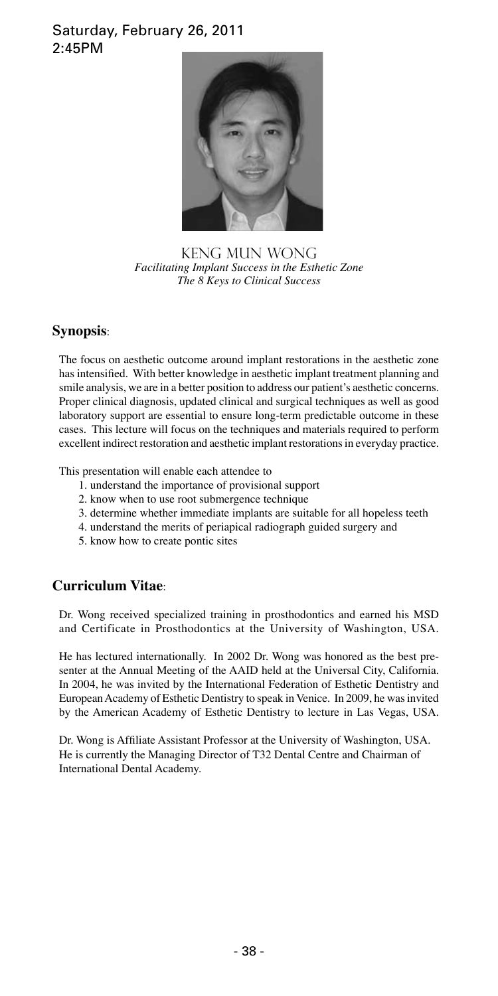### Saturday, February 26, 2011 2:45PM



KENG MUN WONG *Facilitating Implant Success in the Esthetic Zone The 8 Keys to Clinical Success*

### **Synopsis**:

The focus on aesthetic outcome around implant restorations in the aesthetic zone has intensified. With better knowledge in aesthetic implant treatment planning and smile analysis, we are in a better position to address our patient's aesthetic concerns. Proper clinical diagnosis, updated clinical and surgical techniques as well as good laboratory support are essential to ensure long-term predictable outcome in these cases. This lecture will focus on the techniques and materials required to perform excellent indirect restoration and aesthetic implant restorations in everyday practice.

This presentation will enable each attendee to

- 1. understand the importance of provisional support
- 2. know when to use root submergence technique
- 3. determine whether immediate implants are suitable for all hopeless teeth
- 4. understand the merits of periapical radiograph guided surgery and
- 5. know how to create pontic sites

### **Curriculum Vitae**:

Dr. Wong received specialized training in prosthodontics and earned his MSD and Certificate in Prosthodontics at the University of Washington, USA.

He has lectured internationally. In 2002 Dr. Wong was honored as the best presenter at the Annual Meeting of the AAID held at the Universal City, California. In 2004, he was invited by the International Federation of Esthetic Dentistry and European Academy of Esthetic Dentistry to speak in Venice. In 2009, he was invited by the American Academy of Esthetic Dentistry to lecture in Las Vegas, USA.

Dr. Wong is Affiliate Assistant Professor at the University of Washington, USA. He is currently the Managing Director of T32 Dental Centre and Chairman of International Dental Academy.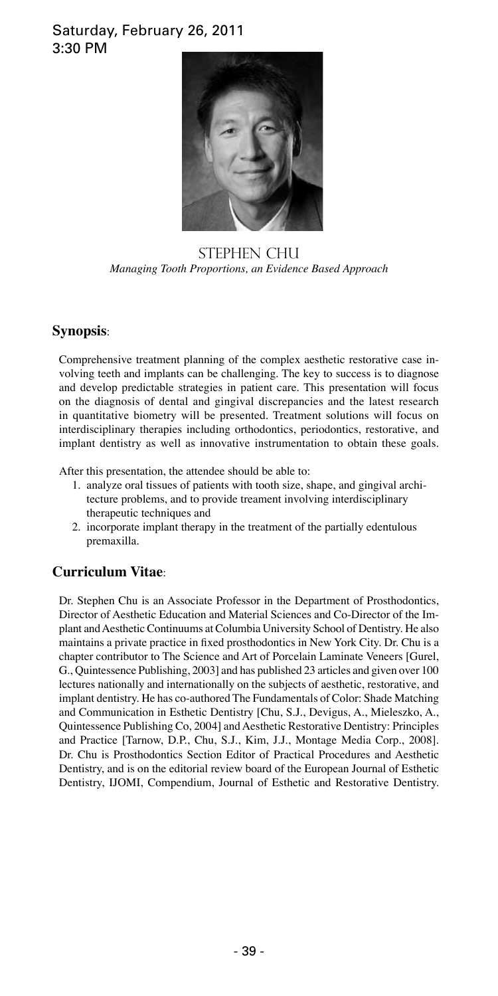### Saturday, February 26, 2011 3:30 PM



STEPHEN CHU *Managing Tooth Proportions, an Evidence Based Approach*

### **Synopsis**:

Comprehensive treatment planning of the complex aesthetic restorative case involving teeth and implants can be challenging. The key to success is to diagnose and develop predictable strategies in patient care. This presentation will focus on the diagnosis of dental and gingival discrepancies and the latest research in quantitative biometry will be presented. Treatment solutions will focus on interdisciplinary therapies including orthodontics, periodontics, restorative, and implant dentistry as well as innovative instrumentation to obtain these goals.

After this presentation, the attendee should be able to:

- 1. analyze oral tissues of patients with tooth size, shape, and gingival archi tecture problems, and to provide treament involving interdisciplinary therapeutic techniques and
- 2. incorporate implant therapy in the treatment of the partially edentulous premaxilla.

### **Curriculum Vitae**:

Dr. Stephen Chu is an Associate Professor in the Department of Prosthodontics, Director of Aesthetic Education and Material Sciences and Co-Director of the Implant and Aesthetic Continuums at Columbia University School of Dentistry. He also maintains a private practice in fixed prosthodontics in New York City. Dr. Chu is a chapter contributor to The Science and Art of Porcelain Laminate Veneers [Gurel, G., Quintessence Publishing, 2003] and has published 23 articles and given over 100 lectures nationally and internationally on the subjects of aesthetic, restorative, and implant dentistry. He has co-authored The Fundamentals of Color: Shade Matching and Communication in Esthetic Dentistry [Chu, S.J., Devigus, A., Mieleszko, A., Quintessence Publishing Co, 2004] and Aesthetic Restorative Dentistry: Principles and Practice [Tarnow, D.P., Chu, S.J., Kim, J.J., Montage Media Corp., 2008]. Dr. Chu is Prosthodontics Section Editor of Practical Procedures and Aesthetic Dentistry, and is on the editorial review board of the European Journal of Esthetic Dentistry, IJOMI, Compendium, Journal of Esthetic and Restorative Dentistry.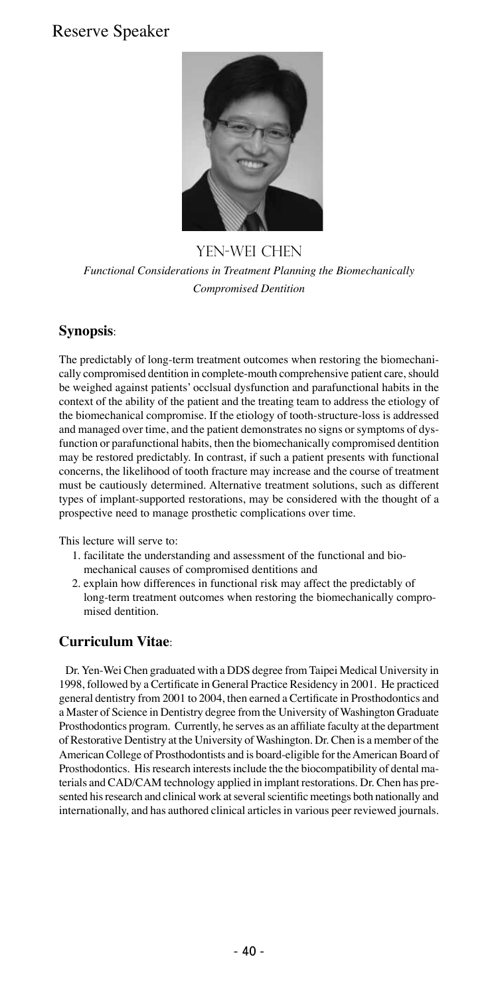# Reserve Speaker



YEN-WEI CHEN *Functional Considerations in Treatment Planning the Biomechanically Compromised Dentition*

### **Synopsis**:

The predictably of long-term treatment outcomes when restoring the biomechanically compromised dentition in complete-mouth comprehensive patient care, should be weighed against patients' occlsual dysfunction and parafunctional habits in the context of the ability of the patient and the treating team to address the etiology of the biomechanical compromise. If the etiology of tooth-structure-loss is addressed and managed over time, and the patient demonstrates no signs or symptoms of dysfunction or parafunctional habits, then the biomechanically compromised dentition may be restored predictably. In contrast, if such a patient presents with functional concerns, the likelihood of tooth fracture may increase and the course of treatment must be cautiously determined. Alternative treatment solutions, such as different types of implant-supported restorations, may be considered with the thought of a prospective need to manage prosthetic complications over time.

This lecture will serve to:

- 1. facilitate the understanding and assessment of the functional and bio mechanical causes of compromised dentitions and
- 2. explain how differences in functional risk may affect the predictably of long-term treatment outcomes when restoring the biomechanically compro mised dentition.

### **Curriculum Vitae**:

Dr. Yen-Wei Chen graduated with a DDS degree from Taipei Medical University in 1998, followed by a Certificate in General Practice Residency in 2001. He practiced general dentistry from 2001 to 2004, then earned a Certificate in Prosthodontics and a Master of Science in Dentistry degree from the University of Washington Graduate Prosthodontics program. Currently, he serves as an affiliate faculty at the department of Restorative Dentistry at the University of Washington. Dr. Chen is a member of the American College of Prosthodontists and is board-eligible for the American Board of Prosthodontics. His research interests include the the biocompatibility of dental materials and CAD/CAM technology applied in implant restorations. Dr. Chen has presented his research and clinical work at several scientific meetings both nationally and internationally, and has authored clinical articles in various peer reviewed journals.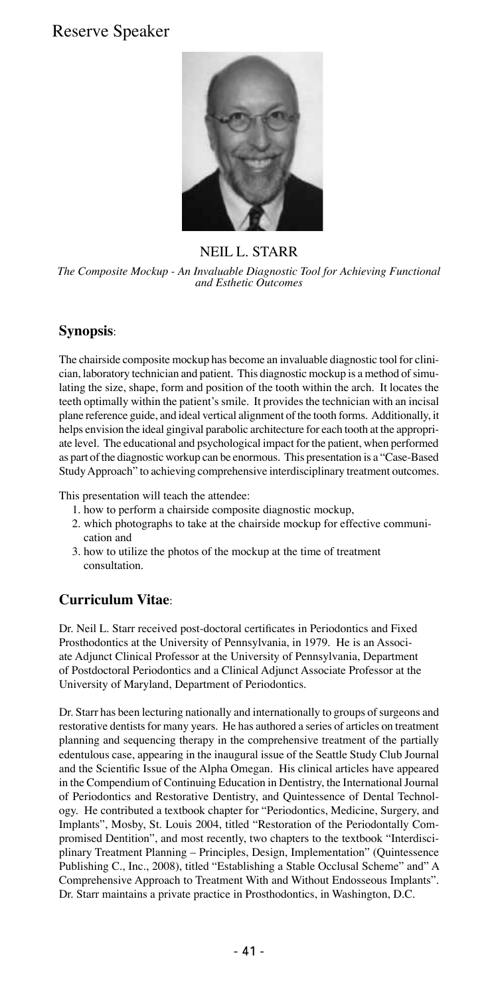# Reserve Speaker



### NEIL L. STARR

*The Composite Mockup - An Invaluable Diagnostic Tool for Achieving Functional and Esthetic Outcomes*

#### **Synopsis**:

The chairside composite mockup has become an invaluable diagnostic tool for clinician, laboratory technician and patient. This diagnostic mockup is a method of simulating the size, shape, form and position of the tooth within the arch. It locates the teeth optimally within the patient's smile. It provides the technician with an incisal plane reference guide, and ideal vertical alignment of the tooth forms. Additionally, it helps envision the ideal gingival parabolic architecture for each tooth at the appropriate level. The educational and psychological impact for the patient, when performed as part of the diagnostic workup can be enormous. This presentation is a "Case-Based Study Approach" to achieving comprehensive interdisciplinary treatment outcomes.

This presentation will teach the attendee:

- 1. how to perform a chairside composite diagnostic mockup,
- 2. which photographs to take at the chairside mockup for effective communi cation and
- 3. how to utilize the photos of the mockup at the time of treatment consultation.

### **Curriculum Vitae**:

Dr. Neil L. Starr received post-doctoral certificates in Periodontics and Fixed Prosthodontics at the University of Pennsylvania, in 1979. He is an Associate Adjunct Clinical Professor at the University of Pennsylvania, Department of Postdoctoral Periodontics and a Clinical Adjunct Associate Professor at the University of Maryland, Department of Periodontics.

Dr. Starr has been lecturing nationally and internationally to groups of surgeons and restorative dentists for many years. He has authored a series of articles on treatment planning and sequencing therapy in the comprehensive treatment of the partially edentulous case, appearing in the inaugural issue of the Seattle Study Club Journal and the Scientific Issue of the Alpha Omegan. His clinical articles have appeared in the Compendium of Continuing Education in Dentistry, the International Journal of Periodontics and Restorative Dentistry, and Quintessence of Dental Technology. He contributed a textbook chapter for "Periodontics, Medicine, Surgery, and Implants", Mosby, St. Louis 2004, titled "Restoration of the Periodontally Compromised Dentition", and most recently, two chapters to the textbook "Interdisciplinary Treatment Planning – Principles, Design, Implementation" (Quintessence Publishing C., Inc., 2008), titled "Establishing a Stable Occlusal Scheme" and" A Comprehensive Approach to Treatment With and Without Endosseous Implants". Dr. Starr maintains a private practice in Prosthodontics, in Washington, D.C.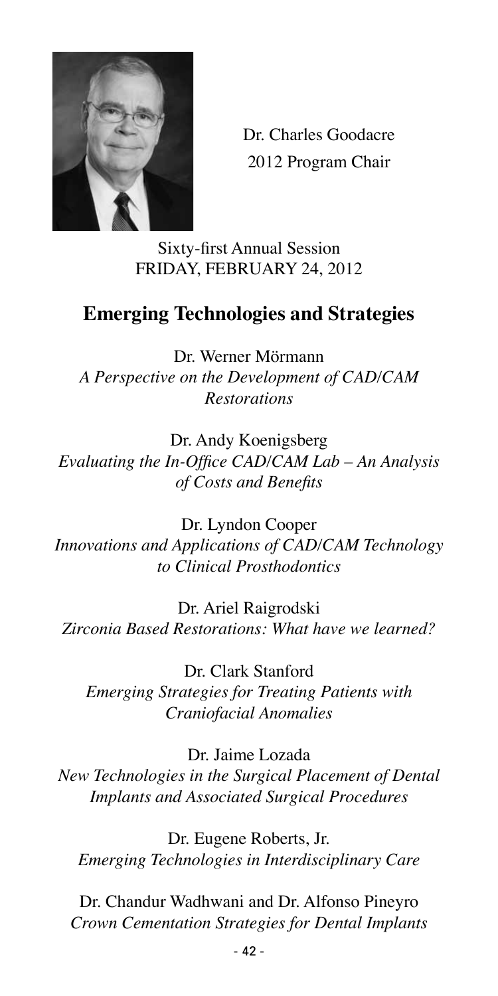

Dr. Charles Goodacre 2012 Program Chair

Sixty-first Annual Session FRIDAY, FEBRUARY 24, 2012

# **Emerging Technologies and Strategies**

Dr. Werner Mörmann *A Perspective on the Development of CAD/CAM Restorations*

Dr. Andy Koenigsberg *Evaluating the In-Office CAD/CAM Lab – An Analysis of Costs and Benefits*

Dr. Lyndon Cooper *Innovations and Applications of CAD/CAM Technology to Clinical Prosthodontics*

Dr. Ariel Raigrodski *Zirconia Based Restorations: What have we learned?*

Dr. Clark Stanford *Emerging Strategies for Treating Patients with Craniofacial Anomalies*

Dr. Jaime Lozada *New Technologies in the Surgical Placement of Dental Implants and Associated Surgical Procedures*

Dr. Eugene Roberts, Jr. *Emerging Technologies in Interdisciplinary Care*

Dr. Chandur Wadhwani and Dr. Alfonso Pineyro *Crown Cementation Strategies for Dental Implants*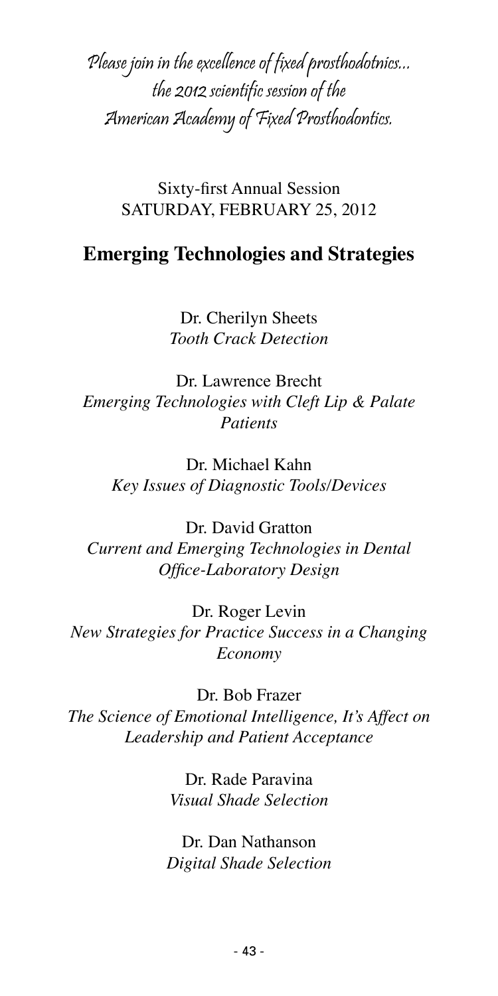Please join in the excellence of fixed prosthodotnics... the 2012 scientific session of the American Academy of Fixed Prosthodontics.

> Sixty-first Annual Session SATURDAY, FEBRUARY 25, 2012

# **Emerging Technologies and Strategies**

Dr. Cherilyn Sheets *Tooth Crack Detection*

Dr. Lawrence Brecht *Emerging Technologies with Cleft Lip & Palate Patients*

Dr. Michael Kahn *Key Issues of Diagnostic Tools/Devices*

Dr. David Gratton *Current and Emerging Technologies in Dental Office-Laboratory Design*

Dr. Roger Levin *New Strategies for Practice Success in a Changing Economy*

Dr. Bob Frazer *The Science of Emotional Intelligence, It's Affect on Leadership and Patient Acceptance*

> Dr. Rade Paravina *Visual Shade Selection*

Dr. Dan Nathanson *Digital Shade Selection*